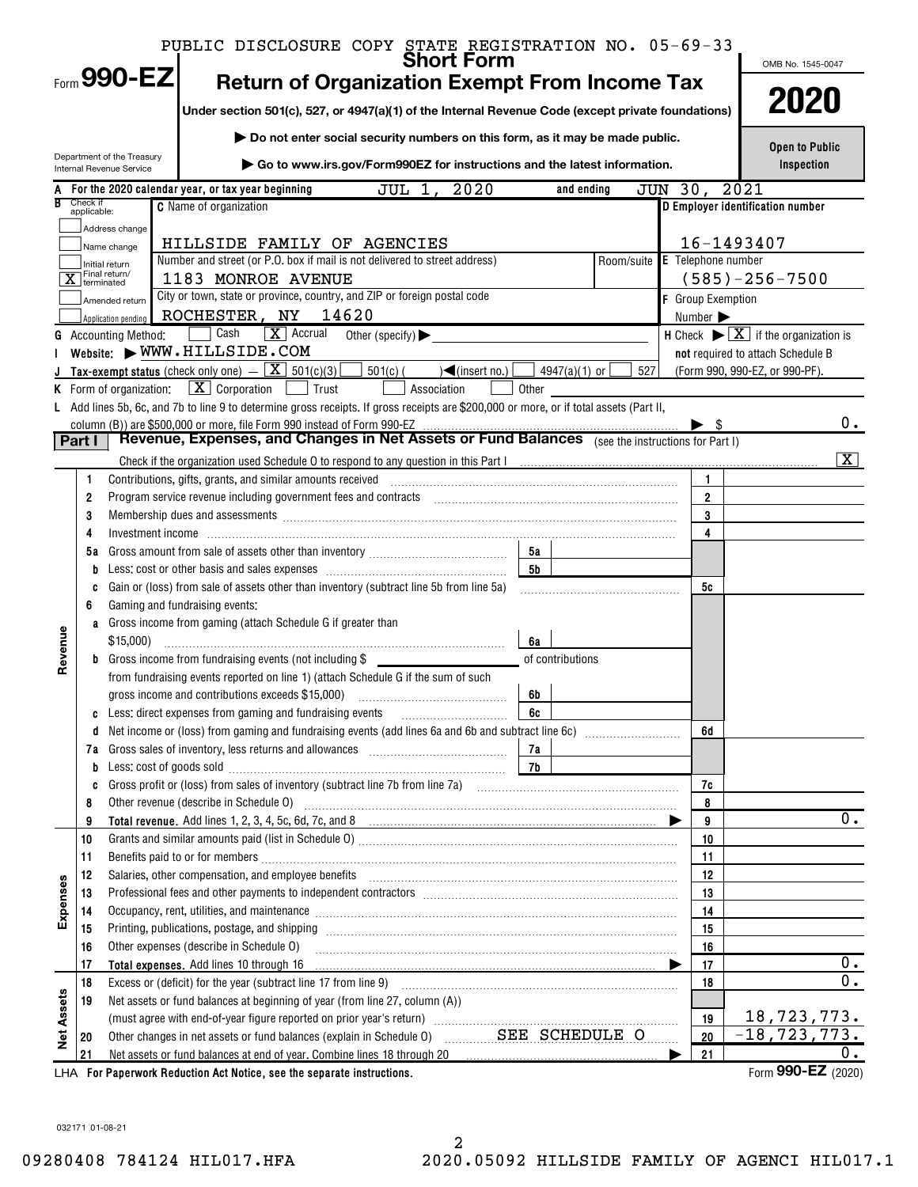|            |             |                                                         | PUBLIC DISCLOSURE COPY STATE REGISTRATION NO. 05-69-33                                                                                                                                                                         |                      |                         |                               |         |                          |      |                                                                         |                |
|------------|-------------|---------------------------------------------------------|--------------------------------------------------------------------------------------------------------------------------------------------------------------------------------------------------------------------------------|----------------------|-------------------------|-------------------------------|---------|--------------------------|------|-------------------------------------------------------------------------|----------------|
|            |             | Form $990$ -EZI                                         | <b>Short Form</b>                                                                                                                                                                                                              |                      |                         |                               |         |                          |      | OMB No. 1545-0047                                                       |                |
|            |             |                                                         | <b>Return of Organization Exempt From Income Tax</b>                                                                                                                                                                           |                      |                         |                               |         |                          |      |                                                                         |                |
|            |             |                                                         | Under section 501(c), 527, or 4947(a)(1) of the Internal Revenue Code (except private foundations)                                                                                                                             |                      |                         |                               |         |                          |      | 2020                                                                    |                |
|            |             |                                                         | Do not enter social security numbers on this form, as it may be made public.                                                                                                                                                   |                      |                         |                               |         |                          |      |                                                                         |                |
|            |             | Department of the Treasury                              |                                                                                                                                                                                                                                |                      |                         |                               |         |                          |      | <b>Open to Public</b>                                                   |                |
|            |             | Internal Revenue Service                                | Go to www.irs.gov/Form990EZ for instructions and the latest information.                                                                                                                                                       |                      |                         |                               |         |                          |      | Inspection                                                              |                |
|            | Check if    |                                                         | 2020<br>JUL 1<br>For the 2020 calendar year, or tax year beginning                                                                                                                                                             |                      | and ending              |                               | JUN 30, |                          | 2021 |                                                                         |                |
|            | applicable: |                                                         | <b>C</b> Name of organization                                                                                                                                                                                                  |                      |                         |                               |         |                          |      | D Employer identification number                                        |                |
|            |             | Address change                                          |                                                                                                                                                                                                                                |                      |                         |                               |         |                          |      |                                                                         |                |
|            |             | Name change                                             | HILLSIDE FAMILY OF AGENCIES<br>Number and street (or P.O. box if mail is not delivered to street address)                                                                                                                      |                      |                         | Room/suite E Telephone number |         | 16-1493407               |      |                                                                         |                |
|            |             | Initial return<br>$\overline{\mathbf{X}}$ Final return/ | 1183 MONROE AVENUE                                                                                                                                                                                                             |                      |                         |                               |         |                          |      | $(585) - 256 - 7500$                                                    |                |
|            |             |                                                         | City or town, state or province, country, and ZIP or foreign postal code                                                                                                                                                       |                      |                         |                               |         | <b>F</b> Group Exemption |      |                                                                         |                |
|            |             | Amended return<br>Application pending                   | ROCHESTER, NY 14620                                                                                                                                                                                                            |                      |                         |                               |         | Number >                 |      |                                                                         |                |
|            |             | <b>G</b> Accounting Method:                             | $\boxed{\mathbf{X}}$ Accrual<br>∏ Cash<br>Other (specify) $\blacktriangleright$                                                                                                                                                |                      |                         |                               |         |                          |      | H Check $\blacktriangleright \boxed{\mathbf{X}}$ if the organization is |                |
|            |             |                                                         | Website: WWW.HILLSIDE.COM                                                                                                                                                                                                      |                      |                         |                               |         |                          |      | not required to attach Schedule B                                       |                |
|            |             |                                                         | Tax-exempt status (check only one) $ \boxed{\textbf{X}}$ 501(c)(3)<br>$501(c)$ (<br>$\sqrt{\frac{2}{1}}$ (insert no.)                                                                                                          |                      | $4947(a)(1)$ or $\vert$ | 527                           |         |                          |      | (Form 990, 990-EZ, or 990-PF).                                          |                |
|            |             |                                                         | <b>K</b> Form of organization: $\boxed{\textbf{X}}$ Corporation<br>Trust<br>Association                                                                                                                                        | Other                |                         |                               |         |                          |      |                                                                         |                |
|            |             |                                                         | L Add lines 5b, 6c, and 7b to line 9 to determine gross receipts. If gross receipts are \$200,000 or more, or if total assets (Part II,                                                                                        |                      |                         |                               |         |                          |      |                                                                         |                |
|            |             |                                                         | column (B)) are \$500,000 or more, file Form 990 instead of Form 990-EZ                                                                                                                                                        |                      |                         |                               |         |                          |      |                                                                         | $0$ .          |
|            | Part I      |                                                         | Revenue, Expenses, and Changes in Net Assets or Fund Balances (see the instructions for Part I)                                                                                                                                |                      |                         |                               |         |                          |      |                                                                         |                |
|            |             |                                                         |                                                                                                                                                                                                                                |                      |                         |                               |         |                          |      |                                                                         | $ \mathbf{X} $ |
|            | 1           |                                                         | Contributions, gifts, grants, and similar amounts received                                                                                                                                                                     |                      |                         |                               |         | $\mathbf{1}$             |      |                                                                         |                |
|            | 2           |                                                         |                                                                                                                                                                                                                                |                      |                         |                               |         | $\overline{2}$           |      |                                                                         |                |
|            | 3           |                                                         | Membership dues and assessments [[11][11] Membership dues and assessments [[11] Membership dues and assessments [[11][11] Membership dues and assessments [[11][11] Membership dues and assessments [[11] Membership dues and  |                      |                         |                               |         | 3                        |      |                                                                         |                |
|            | 4           |                                                         |                                                                                                                                                                                                                                |                      |                         |                               |         | 4                        |      |                                                                         |                |
|            | 5а          |                                                         |                                                                                                                                                                                                                                | 5а<br>5 <sub>b</sub> |                         |                               |         |                          |      |                                                                         |                |
|            | b           |                                                         | Gain or (loss) from sale of assets other than inventory (subtract line 5b from line 5a)                                                                                                                                        |                      |                         |                               |         | 5c                       |      |                                                                         |                |
|            | C<br>6      |                                                         | Gaming and fundraising events:                                                                                                                                                                                                 |                      |                         |                               |         |                          |      |                                                                         |                |
|            | a           |                                                         | Gross income from gaming (attach Schedule G if greater than                                                                                                                                                                    |                      |                         |                               |         |                          |      |                                                                         |                |
| Revenue    |             | \$15,000)                                               |                                                                                                                                                                                                                                | 6a                   |                         |                               |         |                          |      |                                                                         |                |
|            | b           |                                                         | Gross income from fundraising events (not including \$                                                                                                                                                                         |                      | of contributions        |                               |         |                          |      |                                                                         |                |
|            |             |                                                         | from fundraising events reported on line 1) (attach Schedule G if the sum of such                                                                                                                                              |                      |                         |                               |         |                          |      |                                                                         |                |
|            |             |                                                         |                                                                                                                                                                                                                                | 6b                   |                         |                               |         |                          |      |                                                                         |                |
|            |             |                                                         | Less: direct expenses from gaming and fundraising events                                                                                                                                                                       | 6c                   |                         |                               |         |                          |      |                                                                         |                |
|            |             |                                                         |                                                                                                                                                                                                                                |                      |                         |                               |         | 6d                       |      |                                                                         |                |
|            |             |                                                         |                                                                                                                                                                                                                                | 7a                   |                         |                               |         |                          |      |                                                                         |                |
|            | b           |                                                         | Less: cost of goods sold with an annumerous cost of goods sold with an annumerous cost of goods sold                                                                                                                           | <b>7b</b>            |                         |                               |         |                          |      |                                                                         |                |
|            | c           |                                                         |                                                                                                                                                                                                                                |                      |                         |                               |         | 7c                       |      |                                                                         |                |
|            | 8<br>9      |                                                         | Other revenue (describe in Schedule O) manufactured and content to the schedule O                                                                                                                                              |                      |                         |                               |         | 8<br>9                   |      |                                                                         | $0$ .          |
|            | 10          |                                                         |                                                                                                                                                                                                                                |                      |                         |                               |         | 10                       |      |                                                                         |                |
|            | 11          |                                                         |                                                                                                                                                                                                                                |                      |                         |                               |         | 11                       |      |                                                                         |                |
|            | 12          |                                                         | Salaries, other compensation, and employee benefits [11] manufactures and the competition of the compensation, and employee benefits [11] manufactures and the competition of the competition of the competition of the compet |                      |                         |                               |         | 12                       |      |                                                                         |                |
|            | 13          |                                                         |                                                                                                                                                                                                                                |                      |                         |                               |         | 13                       |      |                                                                         |                |
| Expenses   | 14          |                                                         | Occupancy, rent, utilities, and maintenance manufactured and announcement of the manufacture of the manufactur                                                                                                                 |                      |                         |                               |         | 14                       |      |                                                                         |                |
|            | 15          |                                                         | Printing, publications, postage, and shipping                                                                                                                                                                                  |                      |                         |                               |         | 15                       |      |                                                                         |                |
|            | 16          |                                                         | Other expenses (describe in Schedule O)                                                                                                                                                                                        |                      |                         |                               |         | 16                       |      |                                                                         |                |
|            | 17          |                                                         |                                                                                                                                                                                                                                |                      |                         |                               |         | 17                       |      |                                                                         | $0$ .          |
|            | 18          |                                                         | Excess or (deficit) for the year (subtract line 17 from line 9)                                                                                                                                                                |                      |                         |                               |         | 18                       |      |                                                                         | 0.             |
| Net Assets | 19          |                                                         | Net assets or fund balances at beginning of year (from line 27, column (A))                                                                                                                                                    |                      |                         |                               |         |                          |      |                                                                         |                |
|            |             |                                                         |                                                                                                                                                                                                                                |                      |                         |                               |         | 19                       |      | 18,723,773.                                                             |                |
|            | 20          |                                                         | Other changes in net assets or fund balances (explain in Schedule 0) SEE SCHEDULE O                                                                                                                                            |                      |                         |                               |         | 20                       |      | $-18, 723, 773.$                                                        |                |
|            | 21          |                                                         | Net assets or fund balances at end of year. Combine lines 18 through 20 [11, 12, 13, 13, 13, 13, 13, 13, 13, 1                                                                                                                 |                      |                         |                               |         | 21                       |      |                                                                         | 0.             |
|            |             |                                                         | LHA For Paperwork Reduction Act Notice, see the separate instructions.                                                                                                                                                         |                      |                         |                               |         |                          |      | Form 990-EZ (2020)                                                      |                |

032171 01-08-21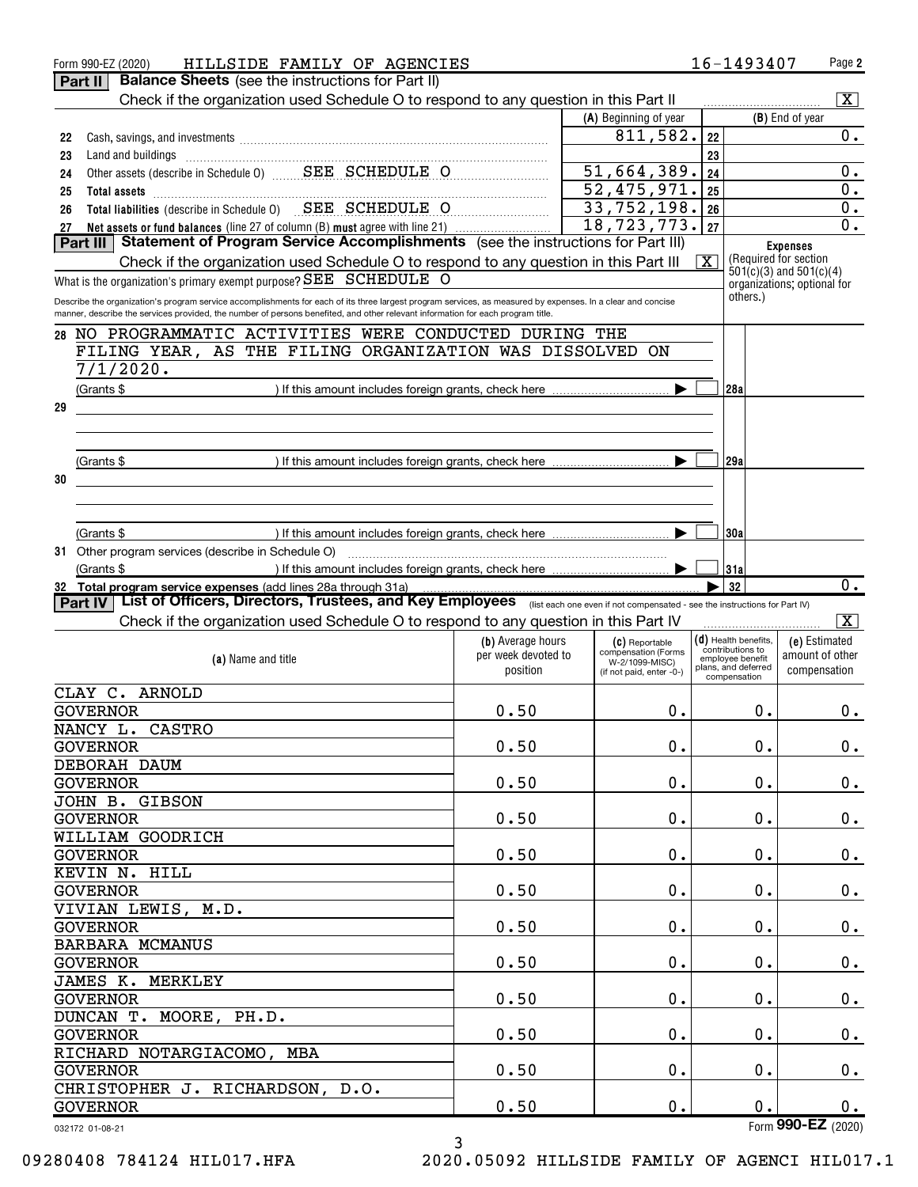|    | HILLSIDE FAMILY OF AGENCIES<br>Form 990-EZ (2020)                                                                                                                                                                                                                                              |                                          |                                            |                         | 16-1493407                               | Page 2                                                |
|----|------------------------------------------------------------------------------------------------------------------------------------------------------------------------------------------------------------------------------------------------------------------------------------------------|------------------------------------------|--------------------------------------------|-------------------------|------------------------------------------|-------------------------------------------------------|
|    | <b>Balance Sheets</b> (see the instructions for Part II)<br>Part II                                                                                                                                                                                                                            |                                          |                                            |                         |                                          |                                                       |
|    | Check if the organization used Schedule O to respond to any question in this Part II                                                                                                                                                                                                           |                                          |                                            |                         |                                          | $\overline{\mathbf{x}}$                               |
|    |                                                                                                                                                                                                                                                                                                |                                          | (A) Beginning of year                      |                         |                                          | (B) End of year                                       |
| 22 |                                                                                                                                                                                                                                                                                                |                                          | 811,582.                                   | 22                      |                                          | 0.                                                    |
| 23 |                                                                                                                                                                                                                                                                                                |                                          |                                            | 23                      |                                          |                                                       |
| 24 |                                                                                                                                                                                                                                                                                                |                                          | 51,664,389.                                | 24                      |                                          | $0$ .                                                 |
| 25 |                                                                                                                                                                                                                                                                                                |                                          | 52,475,971.                                | 25                      |                                          | $0$ .                                                 |
| 26 | Total liabilities (describe in Schedule 0) SEE SCHEDULE O                                                                                                                                                                                                                                      |                                          | 33,752,198.                                | 26                      |                                          | $0$ .                                                 |
| 27 | Net assets or fund balances (line 27 of column (B) must agree with line 21)                                                                                                                                                                                                                    |                                          | 18, 723, 773.                              | 27                      |                                          | $\overline{0}$ .                                      |
|    | Statement of Program Service Accomplishments (see the instructions for Part III)<br>Part III                                                                                                                                                                                                   |                                          |                                            |                         |                                          | <b>Expenses</b>                                       |
|    | Check if the organization used Schedule O to respond to any question in this Part III                                                                                                                                                                                                          |                                          |                                            | $\overline{\mathbf{X}}$ |                                          | (Required for section)<br>$501(c)(3)$ and $501(c)(4)$ |
|    | What is the organization's primary exempt purpose? SEE SCHEDULE O                                                                                                                                                                                                                              |                                          |                                            |                         |                                          | organizations; optional for                           |
|    | Describe the organization's program service accomplishments for each of its three largest program services, as measured by expenses. In a clear and concise<br>manner, describe the services provided, the number of persons benefited, and other relevant information for each program title. |                                          |                                            |                         | others.)                                 |                                                       |
|    | 28 NO PROGRAMMATIC ACTIVITIES WERE CONDUCTED DURING THE                                                                                                                                                                                                                                        |                                          |                                            |                         |                                          |                                                       |
|    | FILING YEAR, AS THE FILING ORGANIZATION WAS DISSOLVED                                                                                                                                                                                                                                          |                                          | ON                                         |                         |                                          |                                                       |
|    | 7/1/2020.                                                                                                                                                                                                                                                                                      |                                          |                                            |                         |                                          |                                                       |
|    |                                                                                                                                                                                                                                                                                                |                                          |                                            |                         |                                          |                                                       |
|    | (Grants \$                                                                                                                                                                                                                                                                                     |                                          |                                            |                         | 28a                                      |                                                       |
| 29 |                                                                                                                                                                                                                                                                                                |                                          |                                            |                         |                                          |                                                       |
|    |                                                                                                                                                                                                                                                                                                |                                          |                                            |                         |                                          |                                                       |
|    |                                                                                                                                                                                                                                                                                                |                                          |                                            |                         |                                          |                                                       |
|    | (Grants \$                                                                                                                                                                                                                                                                                     |                                          |                                            |                         | 29a                                      |                                                       |
| 30 |                                                                                                                                                                                                                                                                                                |                                          |                                            |                         |                                          |                                                       |
|    |                                                                                                                                                                                                                                                                                                |                                          |                                            |                         |                                          |                                                       |
|    |                                                                                                                                                                                                                                                                                                |                                          |                                            |                         |                                          |                                                       |
|    | (Grants \$                                                                                                                                                                                                                                                                                     |                                          |                                            |                         | 130a                                     |                                                       |
|    | 31 Other program services (describe in Schedule O)                                                                                                                                                                                                                                             |                                          |                                            |                         |                                          |                                                       |
|    | (Grants \$                                                                                                                                                                                                                                                                                     |                                          |                                            |                         | 131a                                     | $\overline{0}$ .                                      |
|    | 32 Total program service expenses (add lines 28a through 31a)<br>Part IV   List of Officers, Directors, Trustees, and Key Employees (list each one even if not compensated - see the instructions for Part IV)                                                                                 |                                          |                                            |                         | 32                                       |                                                       |
|    | Check if the organization used Schedule O to respond to any question in this Part IV                                                                                                                                                                                                           |                                          |                                            |                         |                                          | $\overline{\mathbf{X}}$                               |
|    |                                                                                                                                                                                                                                                                                                |                                          |                                            |                         |                                          |                                                       |
|    |                                                                                                                                                                                                                                                                                                | (b) Average hours<br>per week devoted to | (C) Reportable<br>compensation (Forms      |                         | (d) Health benefits,<br>contributions to | (e) Estimated<br>amount of other                      |
|    | (a) Name and title                                                                                                                                                                                                                                                                             | position                                 | W-2/1099-MISC)<br>(if not paid, enter -0-) |                         | employee benefit<br>plans, and deferred  | compensation                                          |
|    | CLAY C. ARNOLD                                                                                                                                                                                                                                                                                 |                                          |                                            |                         | compensation                             |                                                       |
|    | <b>GOVERNOR</b>                                                                                                                                                                                                                                                                                | 0.50                                     | $0$ .                                      |                         | $0$ .                                    | 0.                                                    |
|    | NANCY L. CASTRO                                                                                                                                                                                                                                                                                |                                          |                                            |                         |                                          |                                                       |
|    | <b>GOVERNOR</b>                                                                                                                                                                                                                                                                                | 0.50                                     | 0.                                         |                         | 0.                                       | 0.                                                    |
|    | DEBORAH DAUM                                                                                                                                                                                                                                                                                   |                                          |                                            |                         |                                          |                                                       |
|    | <b>GOVERNOR</b>                                                                                                                                                                                                                                                                                | 0.50                                     | $\mathbf 0$ .                              |                         | $\mathbf 0$ .                            | 0.                                                    |
|    | JOHN B. GIBSON                                                                                                                                                                                                                                                                                 |                                          |                                            |                         |                                          |                                                       |
|    |                                                                                                                                                                                                                                                                                                | 0.50                                     |                                            |                         |                                          |                                                       |
|    | <b>GOVERNOR</b>                                                                                                                                                                                                                                                                                |                                          | $\mathbf 0$ .                              |                         | $\mathbf 0$ .                            | 0.                                                    |
|    | WILLIAM GOODRICH                                                                                                                                                                                                                                                                               |                                          |                                            |                         |                                          |                                                       |
|    |                                                                                                                                                                                                                                                                                                |                                          |                                            |                         |                                          |                                                       |
|    | <b>GOVERNOR</b>                                                                                                                                                                                                                                                                                | 0.50                                     | $\mathbf 0$ .                              |                         | $\mathbf 0$ .                            | 0.                                                    |
|    | KEVIN N. HILL                                                                                                                                                                                                                                                                                  |                                          |                                            |                         |                                          |                                                       |
|    | <b>GOVERNOR</b>                                                                                                                                                                                                                                                                                | 0.50                                     | $\mathbf 0$ .                              |                         | $\mathbf 0$ .                            | 0.                                                    |
|    | VIVIAN LEWIS, M.D.                                                                                                                                                                                                                                                                             |                                          |                                            |                         |                                          |                                                       |
|    | <b>GOVERNOR</b>                                                                                                                                                                                                                                                                                | 0.50                                     | $\mathbf 0$ .                              |                         | $\mathbf 0$ .                            |                                                       |
|    | BARBARA MCMANUS                                                                                                                                                                                                                                                                                |                                          |                                            |                         |                                          | 0.                                                    |
|    | <b>GOVERNOR</b>                                                                                                                                                                                                                                                                                | 0.50                                     | $\mathbf 0$ .                              |                         | $\mathbf 0$ .                            |                                                       |
|    | JAMES K. MERKLEY                                                                                                                                                                                                                                                                               |                                          |                                            |                         |                                          |                                                       |
|    | <b>GOVERNOR</b>                                                                                                                                                                                                                                                                                | 0.50                                     | $\mathbf 0$ .                              |                         | $\mathbf 0$ .                            |                                                       |
|    | DUNCAN T. MOORE, PH.D.                                                                                                                                                                                                                                                                         |                                          |                                            |                         |                                          | 0.<br>0.                                              |
|    | GOVERNOR                                                                                                                                                                                                                                                                                       | 0.50                                     | $\mathbf 0$ .                              |                         | $\mathbf 0$ .                            |                                                       |
|    | RICHARD NOTARGIACOMO, MBA                                                                                                                                                                                                                                                                      |                                          |                                            |                         |                                          | 0.                                                    |
|    | <b>GOVERNOR</b>                                                                                                                                                                                                                                                                                | 0.50                                     | $\mathbf 0$ .                              |                         | $\mathbf 0$ .                            |                                                       |
|    | CHRISTOPHER J. RICHARDSON, D.O.                                                                                                                                                                                                                                                                |                                          |                                            |                         |                                          | 0.                                                    |
|    | <b>GOVERNOR</b>                                                                                                                                                                                                                                                                                | 0.50                                     | $0$ .                                      |                         | 0.                                       | 0.                                                    |

09280408 784124 HIL017.HFA 2020.05092 HILLSIDE FAMILY OF AGENCI HIL017.1

3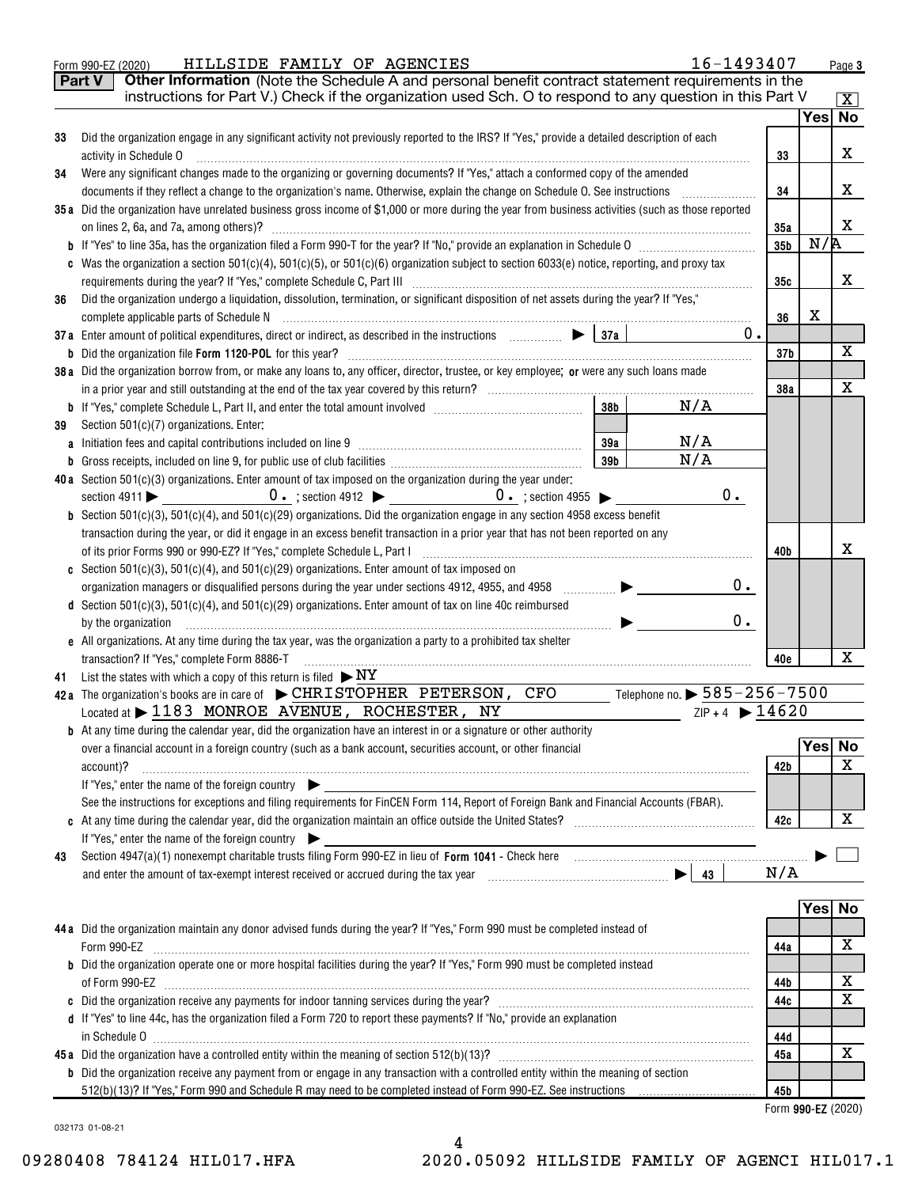| Did the organization engage in any significant activity not previously reported to the IRS? If "Yes," provide a detailed description of each<br>33<br>activity in Schedule O<br>33<br>Were any significant changes made to the organizing or governing documents? If "Yes," attach a conformed copy of the amended<br>34<br>34<br>documents if they reflect a change to the organization's name. Otherwise, explain the change on Schedule O. See instructions<br>35a Did the organization have unrelated business gross income of \$1,000 or more during the year from business activities (such as those reported<br>35a<br>35b<br>c Was the organization a section 501(c)(4), 501(c)(5), or 501(c)(6) organization subject to section 6033(e) notice, reporting, and proxy tax<br>35c<br>Did the organization undergo a liquidation, dissolution, termination, or significant disposition of net assets during the year? If "Yes,"<br>36<br>36<br>0.<br>37a Enter amount of political expenditures, direct or indirect, as described in the instructions $\Box$ $\Box$ $\Box$<br>37 b<br>38a Did the organization borrow from, or make any loans to, any officer, director, trustee, or key employee; or were any such loans made<br>38a<br>N/A<br>38 <sub>b</sub><br>Section 501(c)(7) organizations. Enter:<br>39<br>N/A<br>39a<br>N/A<br>39 <sub>b</sub><br>40a Section 501(c)(3) organizations. Enter amount of tax imposed on the organization during the year under:<br>0.<br><b>b</b> Section 501(c)(3), 501(c)(4), and 501(c)(29) organizations. Did the organization engage in any section 4958 excess benefit<br>transaction during the year, or did it engage in an excess benefit transaction in a prior year that has not been reported on any<br>40b<br>c Section $501(c)(3)$ , $501(c)(4)$ , and $501(c)(29)$ organizations. Enter amount of tax imposed on<br>0.<br>d Section 501(c)(3), 501(c)(4), and 501(c)(29) organizations. Enter amount of tax on line 40c reimbursed<br>$0$ .<br>by the organization<br>$\blacksquare$<br>e All organizations. At any time during the tax year, was the organization a party to a prohibited tax shelter<br>transaction? If "Yes," complete Form 8886-T<br>40e<br>41 List the states with which a copy of this return is filed $\triangleright$ NY<br>42a The organization's books are in care of $\blacktriangleright$ CHRISTOPHER PETERSON, CFO<br>Telephone no. $\blacktriangleright$ $585$ – $256$ – $7500$<br>Located at > 1183 MONROE AVENUE, ROCHESTER, NY<br>$ZIP + 4$ $\triangleright$ 14620<br><b>b</b> At any time during the calendar year, did the organization have an interest in or a signature or other authority<br>over a financial account in a foreign country (such as a bank account, securities account, or other financial<br>42b<br>account)?<br>If "Yes," enter the name of the foreign country<br>See the instructions for exceptions and filing requirements for FinCEN Form 114, Report of Foreign Bank and Financial Accounts (FBAR).<br>42c<br>If "Yes," enter the name of the foreign country<br>43<br>N/A<br>44a Did the organization maintain any donor advised funds during the year? If "Yes," Form 990 must be completed instead of<br>Form 990-EZ<br>44a<br><b>b</b> Did the organization operate one or more hospital facilities during the year? If "Yes," Form 990 must be completed instead<br>44b<br>44c | Yes No<br>х<br>х<br>х<br>N/R<br>х<br>X<br>Х<br>X<br>х<br>x<br>Yes No<br>X<br>х<br>Yes No<br>х | Part V<br>Other Information (Note the Schedule A and personal benefit contract statement requirements in the<br>instructions for Part V.) Check if the organization used Sch. O to respond to any question in this Part V |  |                         |
|-----------------------------------------------------------------------------------------------------------------------------------------------------------------------------------------------------------------------------------------------------------------------------------------------------------------------------------------------------------------------------------------------------------------------------------------------------------------------------------------------------------------------------------------------------------------------------------------------------------------------------------------------------------------------------------------------------------------------------------------------------------------------------------------------------------------------------------------------------------------------------------------------------------------------------------------------------------------------------------------------------------------------------------------------------------------------------------------------------------------------------------------------------------------------------------------------------------------------------------------------------------------------------------------------------------------------------------------------------------------------------------------------------------------------------------------------------------------------------------------------------------------------------------------------------------------------------------------------------------------------------------------------------------------------------------------------------------------------------------------------------------------------------------------------------------------------------------------------------------------------------------------------------------------------------------------------------------------------------------------------------------------------------------------------------------------------------------------------------------------------------------------------------------------------------------------------------------------------------------------------------------------------------------------------------------------------------------------------------------------------------------------------------------------------------------------------------------------------------------------------------------------------------------------------------------------------------------------------------------------------------------------------------------------------------------------------------------------------------------------------------------------------------------------------------------------------------------------------------------------------------------------------------------------------------------------------------------------------------------------------------------------------------------------------------------------------------------------------------------------------------------------------------------------------------------------------------------------------------------------------------------------------------------------------------------------------------------------------------------------------------------------------------------------|-----------------------------------------------------------------------------------------------|---------------------------------------------------------------------------------------------------------------------------------------------------------------------------------------------------------------------------|--|-------------------------|
|                                                                                                                                                                                                                                                                                                                                                                                                                                                                                                                                                                                                                                                                                                                                                                                                                                                                                                                                                                                                                                                                                                                                                                                                                                                                                                                                                                                                                                                                                                                                                                                                                                                                                                                                                                                                                                                                                                                                                                                                                                                                                                                                                                                                                                                                                                                                                                                                                                                                                                                                                                                                                                                                                                                                                                                                                                                                                                                                                                                                                                                                                                                                                                                                                                                                                                                                                                                                                 |                                                                                               |                                                                                                                                                                                                                           |  | $\overline{\mathbf{X}}$ |
|                                                                                                                                                                                                                                                                                                                                                                                                                                                                                                                                                                                                                                                                                                                                                                                                                                                                                                                                                                                                                                                                                                                                                                                                                                                                                                                                                                                                                                                                                                                                                                                                                                                                                                                                                                                                                                                                                                                                                                                                                                                                                                                                                                                                                                                                                                                                                                                                                                                                                                                                                                                                                                                                                                                                                                                                                                                                                                                                                                                                                                                                                                                                                                                                                                                                                                                                                                                                                 |                                                                                               |                                                                                                                                                                                                                           |  |                         |
|                                                                                                                                                                                                                                                                                                                                                                                                                                                                                                                                                                                                                                                                                                                                                                                                                                                                                                                                                                                                                                                                                                                                                                                                                                                                                                                                                                                                                                                                                                                                                                                                                                                                                                                                                                                                                                                                                                                                                                                                                                                                                                                                                                                                                                                                                                                                                                                                                                                                                                                                                                                                                                                                                                                                                                                                                                                                                                                                                                                                                                                                                                                                                                                                                                                                                                                                                                                                                 |                                                                                               |                                                                                                                                                                                                                           |  |                         |
|                                                                                                                                                                                                                                                                                                                                                                                                                                                                                                                                                                                                                                                                                                                                                                                                                                                                                                                                                                                                                                                                                                                                                                                                                                                                                                                                                                                                                                                                                                                                                                                                                                                                                                                                                                                                                                                                                                                                                                                                                                                                                                                                                                                                                                                                                                                                                                                                                                                                                                                                                                                                                                                                                                                                                                                                                                                                                                                                                                                                                                                                                                                                                                                                                                                                                                                                                                                                                 |                                                                                               |                                                                                                                                                                                                                           |  |                         |
|                                                                                                                                                                                                                                                                                                                                                                                                                                                                                                                                                                                                                                                                                                                                                                                                                                                                                                                                                                                                                                                                                                                                                                                                                                                                                                                                                                                                                                                                                                                                                                                                                                                                                                                                                                                                                                                                                                                                                                                                                                                                                                                                                                                                                                                                                                                                                                                                                                                                                                                                                                                                                                                                                                                                                                                                                                                                                                                                                                                                                                                                                                                                                                                                                                                                                                                                                                                                                 |                                                                                               |                                                                                                                                                                                                                           |  |                         |
|                                                                                                                                                                                                                                                                                                                                                                                                                                                                                                                                                                                                                                                                                                                                                                                                                                                                                                                                                                                                                                                                                                                                                                                                                                                                                                                                                                                                                                                                                                                                                                                                                                                                                                                                                                                                                                                                                                                                                                                                                                                                                                                                                                                                                                                                                                                                                                                                                                                                                                                                                                                                                                                                                                                                                                                                                                                                                                                                                                                                                                                                                                                                                                                                                                                                                                                                                                                                                 |                                                                                               |                                                                                                                                                                                                                           |  |                         |
|                                                                                                                                                                                                                                                                                                                                                                                                                                                                                                                                                                                                                                                                                                                                                                                                                                                                                                                                                                                                                                                                                                                                                                                                                                                                                                                                                                                                                                                                                                                                                                                                                                                                                                                                                                                                                                                                                                                                                                                                                                                                                                                                                                                                                                                                                                                                                                                                                                                                                                                                                                                                                                                                                                                                                                                                                                                                                                                                                                                                                                                                                                                                                                                                                                                                                                                                                                                                                 |                                                                                               |                                                                                                                                                                                                                           |  |                         |
|                                                                                                                                                                                                                                                                                                                                                                                                                                                                                                                                                                                                                                                                                                                                                                                                                                                                                                                                                                                                                                                                                                                                                                                                                                                                                                                                                                                                                                                                                                                                                                                                                                                                                                                                                                                                                                                                                                                                                                                                                                                                                                                                                                                                                                                                                                                                                                                                                                                                                                                                                                                                                                                                                                                                                                                                                                                                                                                                                                                                                                                                                                                                                                                                                                                                                                                                                                                                                 |                                                                                               |                                                                                                                                                                                                                           |  |                         |
|                                                                                                                                                                                                                                                                                                                                                                                                                                                                                                                                                                                                                                                                                                                                                                                                                                                                                                                                                                                                                                                                                                                                                                                                                                                                                                                                                                                                                                                                                                                                                                                                                                                                                                                                                                                                                                                                                                                                                                                                                                                                                                                                                                                                                                                                                                                                                                                                                                                                                                                                                                                                                                                                                                                                                                                                                                                                                                                                                                                                                                                                                                                                                                                                                                                                                                                                                                                                                 |                                                                                               |                                                                                                                                                                                                                           |  |                         |
|                                                                                                                                                                                                                                                                                                                                                                                                                                                                                                                                                                                                                                                                                                                                                                                                                                                                                                                                                                                                                                                                                                                                                                                                                                                                                                                                                                                                                                                                                                                                                                                                                                                                                                                                                                                                                                                                                                                                                                                                                                                                                                                                                                                                                                                                                                                                                                                                                                                                                                                                                                                                                                                                                                                                                                                                                                                                                                                                                                                                                                                                                                                                                                                                                                                                                                                                                                                                                 |                                                                                               |                                                                                                                                                                                                                           |  |                         |
|                                                                                                                                                                                                                                                                                                                                                                                                                                                                                                                                                                                                                                                                                                                                                                                                                                                                                                                                                                                                                                                                                                                                                                                                                                                                                                                                                                                                                                                                                                                                                                                                                                                                                                                                                                                                                                                                                                                                                                                                                                                                                                                                                                                                                                                                                                                                                                                                                                                                                                                                                                                                                                                                                                                                                                                                                                                                                                                                                                                                                                                                                                                                                                                                                                                                                                                                                                                                                 |                                                                                               |                                                                                                                                                                                                                           |  |                         |
|                                                                                                                                                                                                                                                                                                                                                                                                                                                                                                                                                                                                                                                                                                                                                                                                                                                                                                                                                                                                                                                                                                                                                                                                                                                                                                                                                                                                                                                                                                                                                                                                                                                                                                                                                                                                                                                                                                                                                                                                                                                                                                                                                                                                                                                                                                                                                                                                                                                                                                                                                                                                                                                                                                                                                                                                                                                                                                                                                                                                                                                                                                                                                                                                                                                                                                                                                                                                                 |                                                                                               |                                                                                                                                                                                                                           |  |                         |
|                                                                                                                                                                                                                                                                                                                                                                                                                                                                                                                                                                                                                                                                                                                                                                                                                                                                                                                                                                                                                                                                                                                                                                                                                                                                                                                                                                                                                                                                                                                                                                                                                                                                                                                                                                                                                                                                                                                                                                                                                                                                                                                                                                                                                                                                                                                                                                                                                                                                                                                                                                                                                                                                                                                                                                                                                                                                                                                                                                                                                                                                                                                                                                                                                                                                                                                                                                                                                 |                                                                                               |                                                                                                                                                                                                                           |  |                         |
|                                                                                                                                                                                                                                                                                                                                                                                                                                                                                                                                                                                                                                                                                                                                                                                                                                                                                                                                                                                                                                                                                                                                                                                                                                                                                                                                                                                                                                                                                                                                                                                                                                                                                                                                                                                                                                                                                                                                                                                                                                                                                                                                                                                                                                                                                                                                                                                                                                                                                                                                                                                                                                                                                                                                                                                                                                                                                                                                                                                                                                                                                                                                                                                                                                                                                                                                                                                                                 |                                                                                               |                                                                                                                                                                                                                           |  |                         |
|                                                                                                                                                                                                                                                                                                                                                                                                                                                                                                                                                                                                                                                                                                                                                                                                                                                                                                                                                                                                                                                                                                                                                                                                                                                                                                                                                                                                                                                                                                                                                                                                                                                                                                                                                                                                                                                                                                                                                                                                                                                                                                                                                                                                                                                                                                                                                                                                                                                                                                                                                                                                                                                                                                                                                                                                                                                                                                                                                                                                                                                                                                                                                                                                                                                                                                                                                                                                                 |                                                                                               |                                                                                                                                                                                                                           |  |                         |
|                                                                                                                                                                                                                                                                                                                                                                                                                                                                                                                                                                                                                                                                                                                                                                                                                                                                                                                                                                                                                                                                                                                                                                                                                                                                                                                                                                                                                                                                                                                                                                                                                                                                                                                                                                                                                                                                                                                                                                                                                                                                                                                                                                                                                                                                                                                                                                                                                                                                                                                                                                                                                                                                                                                                                                                                                                                                                                                                                                                                                                                                                                                                                                                                                                                                                                                                                                                                                 |                                                                                               |                                                                                                                                                                                                                           |  |                         |
|                                                                                                                                                                                                                                                                                                                                                                                                                                                                                                                                                                                                                                                                                                                                                                                                                                                                                                                                                                                                                                                                                                                                                                                                                                                                                                                                                                                                                                                                                                                                                                                                                                                                                                                                                                                                                                                                                                                                                                                                                                                                                                                                                                                                                                                                                                                                                                                                                                                                                                                                                                                                                                                                                                                                                                                                                                                                                                                                                                                                                                                                                                                                                                                                                                                                                                                                                                                                                 |                                                                                               |                                                                                                                                                                                                                           |  |                         |
|                                                                                                                                                                                                                                                                                                                                                                                                                                                                                                                                                                                                                                                                                                                                                                                                                                                                                                                                                                                                                                                                                                                                                                                                                                                                                                                                                                                                                                                                                                                                                                                                                                                                                                                                                                                                                                                                                                                                                                                                                                                                                                                                                                                                                                                                                                                                                                                                                                                                                                                                                                                                                                                                                                                                                                                                                                                                                                                                                                                                                                                                                                                                                                                                                                                                                                                                                                                                                 |                                                                                               |                                                                                                                                                                                                                           |  |                         |
|                                                                                                                                                                                                                                                                                                                                                                                                                                                                                                                                                                                                                                                                                                                                                                                                                                                                                                                                                                                                                                                                                                                                                                                                                                                                                                                                                                                                                                                                                                                                                                                                                                                                                                                                                                                                                                                                                                                                                                                                                                                                                                                                                                                                                                                                                                                                                                                                                                                                                                                                                                                                                                                                                                                                                                                                                                                                                                                                                                                                                                                                                                                                                                                                                                                                                                                                                                                                                 |                                                                                               |                                                                                                                                                                                                                           |  |                         |
|                                                                                                                                                                                                                                                                                                                                                                                                                                                                                                                                                                                                                                                                                                                                                                                                                                                                                                                                                                                                                                                                                                                                                                                                                                                                                                                                                                                                                                                                                                                                                                                                                                                                                                                                                                                                                                                                                                                                                                                                                                                                                                                                                                                                                                                                                                                                                                                                                                                                                                                                                                                                                                                                                                                                                                                                                                                                                                                                                                                                                                                                                                                                                                                                                                                                                                                                                                                                                 |                                                                                               |                                                                                                                                                                                                                           |  |                         |
|                                                                                                                                                                                                                                                                                                                                                                                                                                                                                                                                                                                                                                                                                                                                                                                                                                                                                                                                                                                                                                                                                                                                                                                                                                                                                                                                                                                                                                                                                                                                                                                                                                                                                                                                                                                                                                                                                                                                                                                                                                                                                                                                                                                                                                                                                                                                                                                                                                                                                                                                                                                                                                                                                                                                                                                                                                                                                                                                                                                                                                                                                                                                                                                                                                                                                                                                                                                                                 |                                                                                               |                                                                                                                                                                                                                           |  |                         |
|                                                                                                                                                                                                                                                                                                                                                                                                                                                                                                                                                                                                                                                                                                                                                                                                                                                                                                                                                                                                                                                                                                                                                                                                                                                                                                                                                                                                                                                                                                                                                                                                                                                                                                                                                                                                                                                                                                                                                                                                                                                                                                                                                                                                                                                                                                                                                                                                                                                                                                                                                                                                                                                                                                                                                                                                                                                                                                                                                                                                                                                                                                                                                                                                                                                                                                                                                                                                                 |                                                                                               |                                                                                                                                                                                                                           |  |                         |
|                                                                                                                                                                                                                                                                                                                                                                                                                                                                                                                                                                                                                                                                                                                                                                                                                                                                                                                                                                                                                                                                                                                                                                                                                                                                                                                                                                                                                                                                                                                                                                                                                                                                                                                                                                                                                                                                                                                                                                                                                                                                                                                                                                                                                                                                                                                                                                                                                                                                                                                                                                                                                                                                                                                                                                                                                                                                                                                                                                                                                                                                                                                                                                                                                                                                                                                                                                                                                 |                                                                                               |                                                                                                                                                                                                                           |  |                         |
|                                                                                                                                                                                                                                                                                                                                                                                                                                                                                                                                                                                                                                                                                                                                                                                                                                                                                                                                                                                                                                                                                                                                                                                                                                                                                                                                                                                                                                                                                                                                                                                                                                                                                                                                                                                                                                                                                                                                                                                                                                                                                                                                                                                                                                                                                                                                                                                                                                                                                                                                                                                                                                                                                                                                                                                                                                                                                                                                                                                                                                                                                                                                                                                                                                                                                                                                                                                                                 |                                                                                               |                                                                                                                                                                                                                           |  |                         |
|                                                                                                                                                                                                                                                                                                                                                                                                                                                                                                                                                                                                                                                                                                                                                                                                                                                                                                                                                                                                                                                                                                                                                                                                                                                                                                                                                                                                                                                                                                                                                                                                                                                                                                                                                                                                                                                                                                                                                                                                                                                                                                                                                                                                                                                                                                                                                                                                                                                                                                                                                                                                                                                                                                                                                                                                                                                                                                                                                                                                                                                                                                                                                                                                                                                                                                                                                                                                                 |                                                                                               |                                                                                                                                                                                                                           |  |                         |
|                                                                                                                                                                                                                                                                                                                                                                                                                                                                                                                                                                                                                                                                                                                                                                                                                                                                                                                                                                                                                                                                                                                                                                                                                                                                                                                                                                                                                                                                                                                                                                                                                                                                                                                                                                                                                                                                                                                                                                                                                                                                                                                                                                                                                                                                                                                                                                                                                                                                                                                                                                                                                                                                                                                                                                                                                                                                                                                                                                                                                                                                                                                                                                                                                                                                                                                                                                                                                 |                                                                                               |                                                                                                                                                                                                                           |  |                         |
|                                                                                                                                                                                                                                                                                                                                                                                                                                                                                                                                                                                                                                                                                                                                                                                                                                                                                                                                                                                                                                                                                                                                                                                                                                                                                                                                                                                                                                                                                                                                                                                                                                                                                                                                                                                                                                                                                                                                                                                                                                                                                                                                                                                                                                                                                                                                                                                                                                                                                                                                                                                                                                                                                                                                                                                                                                                                                                                                                                                                                                                                                                                                                                                                                                                                                                                                                                                                                 |                                                                                               |                                                                                                                                                                                                                           |  |                         |
|                                                                                                                                                                                                                                                                                                                                                                                                                                                                                                                                                                                                                                                                                                                                                                                                                                                                                                                                                                                                                                                                                                                                                                                                                                                                                                                                                                                                                                                                                                                                                                                                                                                                                                                                                                                                                                                                                                                                                                                                                                                                                                                                                                                                                                                                                                                                                                                                                                                                                                                                                                                                                                                                                                                                                                                                                                                                                                                                                                                                                                                                                                                                                                                                                                                                                                                                                                                                                 |                                                                                               |                                                                                                                                                                                                                           |  |                         |
|                                                                                                                                                                                                                                                                                                                                                                                                                                                                                                                                                                                                                                                                                                                                                                                                                                                                                                                                                                                                                                                                                                                                                                                                                                                                                                                                                                                                                                                                                                                                                                                                                                                                                                                                                                                                                                                                                                                                                                                                                                                                                                                                                                                                                                                                                                                                                                                                                                                                                                                                                                                                                                                                                                                                                                                                                                                                                                                                                                                                                                                                                                                                                                                                                                                                                                                                                                                                                 |                                                                                               |                                                                                                                                                                                                                           |  |                         |
|                                                                                                                                                                                                                                                                                                                                                                                                                                                                                                                                                                                                                                                                                                                                                                                                                                                                                                                                                                                                                                                                                                                                                                                                                                                                                                                                                                                                                                                                                                                                                                                                                                                                                                                                                                                                                                                                                                                                                                                                                                                                                                                                                                                                                                                                                                                                                                                                                                                                                                                                                                                                                                                                                                                                                                                                                                                                                                                                                                                                                                                                                                                                                                                                                                                                                                                                                                                                                 |                                                                                               |                                                                                                                                                                                                                           |  |                         |
|                                                                                                                                                                                                                                                                                                                                                                                                                                                                                                                                                                                                                                                                                                                                                                                                                                                                                                                                                                                                                                                                                                                                                                                                                                                                                                                                                                                                                                                                                                                                                                                                                                                                                                                                                                                                                                                                                                                                                                                                                                                                                                                                                                                                                                                                                                                                                                                                                                                                                                                                                                                                                                                                                                                                                                                                                                                                                                                                                                                                                                                                                                                                                                                                                                                                                                                                                                                                                 |                                                                                               |                                                                                                                                                                                                                           |  |                         |
|                                                                                                                                                                                                                                                                                                                                                                                                                                                                                                                                                                                                                                                                                                                                                                                                                                                                                                                                                                                                                                                                                                                                                                                                                                                                                                                                                                                                                                                                                                                                                                                                                                                                                                                                                                                                                                                                                                                                                                                                                                                                                                                                                                                                                                                                                                                                                                                                                                                                                                                                                                                                                                                                                                                                                                                                                                                                                                                                                                                                                                                                                                                                                                                                                                                                                                                                                                                                                 |                                                                                               |                                                                                                                                                                                                                           |  |                         |
|                                                                                                                                                                                                                                                                                                                                                                                                                                                                                                                                                                                                                                                                                                                                                                                                                                                                                                                                                                                                                                                                                                                                                                                                                                                                                                                                                                                                                                                                                                                                                                                                                                                                                                                                                                                                                                                                                                                                                                                                                                                                                                                                                                                                                                                                                                                                                                                                                                                                                                                                                                                                                                                                                                                                                                                                                                                                                                                                                                                                                                                                                                                                                                                                                                                                                                                                                                                                                 |                                                                                               |                                                                                                                                                                                                                           |  |                         |
|                                                                                                                                                                                                                                                                                                                                                                                                                                                                                                                                                                                                                                                                                                                                                                                                                                                                                                                                                                                                                                                                                                                                                                                                                                                                                                                                                                                                                                                                                                                                                                                                                                                                                                                                                                                                                                                                                                                                                                                                                                                                                                                                                                                                                                                                                                                                                                                                                                                                                                                                                                                                                                                                                                                                                                                                                                                                                                                                                                                                                                                                                                                                                                                                                                                                                                                                                                                                                 |                                                                                               |                                                                                                                                                                                                                           |  |                         |
|                                                                                                                                                                                                                                                                                                                                                                                                                                                                                                                                                                                                                                                                                                                                                                                                                                                                                                                                                                                                                                                                                                                                                                                                                                                                                                                                                                                                                                                                                                                                                                                                                                                                                                                                                                                                                                                                                                                                                                                                                                                                                                                                                                                                                                                                                                                                                                                                                                                                                                                                                                                                                                                                                                                                                                                                                                                                                                                                                                                                                                                                                                                                                                                                                                                                                                                                                                                                                 |                                                                                               |                                                                                                                                                                                                                           |  |                         |
|                                                                                                                                                                                                                                                                                                                                                                                                                                                                                                                                                                                                                                                                                                                                                                                                                                                                                                                                                                                                                                                                                                                                                                                                                                                                                                                                                                                                                                                                                                                                                                                                                                                                                                                                                                                                                                                                                                                                                                                                                                                                                                                                                                                                                                                                                                                                                                                                                                                                                                                                                                                                                                                                                                                                                                                                                                                                                                                                                                                                                                                                                                                                                                                                                                                                                                                                                                                                                 |                                                                                               |                                                                                                                                                                                                                           |  |                         |
|                                                                                                                                                                                                                                                                                                                                                                                                                                                                                                                                                                                                                                                                                                                                                                                                                                                                                                                                                                                                                                                                                                                                                                                                                                                                                                                                                                                                                                                                                                                                                                                                                                                                                                                                                                                                                                                                                                                                                                                                                                                                                                                                                                                                                                                                                                                                                                                                                                                                                                                                                                                                                                                                                                                                                                                                                                                                                                                                                                                                                                                                                                                                                                                                                                                                                                                                                                                                                 |                                                                                               |                                                                                                                                                                                                                           |  |                         |
|                                                                                                                                                                                                                                                                                                                                                                                                                                                                                                                                                                                                                                                                                                                                                                                                                                                                                                                                                                                                                                                                                                                                                                                                                                                                                                                                                                                                                                                                                                                                                                                                                                                                                                                                                                                                                                                                                                                                                                                                                                                                                                                                                                                                                                                                                                                                                                                                                                                                                                                                                                                                                                                                                                                                                                                                                                                                                                                                                                                                                                                                                                                                                                                                                                                                                                                                                                                                                 |                                                                                               |                                                                                                                                                                                                                           |  |                         |
|                                                                                                                                                                                                                                                                                                                                                                                                                                                                                                                                                                                                                                                                                                                                                                                                                                                                                                                                                                                                                                                                                                                                                                                                                                                                                                                                                                                                                                                                                                                                                                                                                                                                                                                                                                                                                                                                                                                                                                                                                                                                                                                                                                                                                                                                                                                                                                                                                                                                                                                                                                                                                                                                                                                                                                                                                                                                                                                                                                                                                                                                                                                                                                                                                                                                                                                                                                                                                 |                                                                                               |                                                                                                                                                                                                                           |  |                         |
|                                                                                                                                                                                                                                                                                                                                                                                                                                                                                                                                                                                                                                                                                                                                                                                                                                                                                                                                                                                                                                                                                                                                                                                                                                                                                                                                                                                                                                                                                                                                                                                                                                                                                                                                                                                                                                                                                                                                                                                                                                                                                                                                                                                                                                                                                                                                                                                                                                                                                                                                                                                                                                                                                                                                                                                                                                                                                                                                                                                                                                                                                                                                                                                                                                                                                                                                                                                                                 |                                                                                               |                                                                                                                                                                                                                           |  |                         |
|                                                                                                                                                                                                                                                                                                                                                                                                                                                                                                                                                                                                                                                                                                                                                                                                                                                                                                                                                                                                                                                                                                                                                                                                                                                                                                                                                                                                                                                                                                                                                                                                                                                                                                                                                                                                                                                                                                                                                                                                                                                                                                                                                                                                                                                                                                                                                                                                                                                                                                                                                                                                                                                                                                                                                                                                                                                                                                                                                                                                                                                                                                                                                                                                                                                                                                                                                                                                                 |                                                                                               |                                                                                                                                                                                                                           |  |                         |
|                                                                                                                                                                                                                                                                                                                                                                                                                                                                                                                                                                                                                                                                                                                                                                                                                                                                                                                                                                                                                                                                                                                                                                                                                                                                                                                                                                                                                                                                                                                                                                                                                                                                                                                                                                                                                                                                                                                                                                                                                                                                                                                                                                                                                                                                                                                                                                                                                                                                                                                                                                                                                                                                                                                                                                                                                                                                                                                                                                                                                                                                                                                                                                                                                                                                                                                                                                                                                 |                                                                                               |                                                                                                                                                                                                                           |  |                         |
|                                                                                                                                                                                                                                                                                                                                                                                                                                                                                                                                                                                                                                                                                                                                                                                                                                                                                                                                                                                                                                                                                                                                                                                                                                                                                                                                                                                                                                                                                                                                                                                                                                                                                                                                                                                                                                                                                                                                                                                                                                                                                                                                                                                                                                                                                                                                                                                                                                                                                                                                                                                                                                                                                                                                                                                                                                                                                                                                                                                                                                                                                                                                                                                                                                                                                                                                                                                                                 |                                                                                               |                                                                                                                                                                                                                           |  |                         |
|                                                                                                                                                                                                                                                                                                                                                                                                                                                                                                                                                                                                                                                                                                                                                                                                                                                                                                                                                                                                                                                                                                                                                                                                                                                                                                                                                                                                                                                                                                                                                                                                                                                                                                                                                                                                                                                                                                                                                                                                                                                                                                                                                                                                                                                                                                                                                                                                                                                                                                                                                                                                                                                                                                                                                                                                                                                                                                                                                                                                                                                                                                                                                                                                                                                                                                                                                                                                                 |                                                                                               |                                                                                                                                                                                                                           |  |                         |
|                                                                                                                                                                                                                                                                                                                                                                                                                                                                                                                                                                                                                                                                                                                                                                                                                                                                                                                                                                                                                                                                                                                                                                                                                                                                                                                                                                                                                                                                                                                                                                                                                                                                                                                                                                                                                                                                                                                                                                                                                                                                                                                                                                                                                                                                                                                                                                                                                                                                                                                                                                                                                                                                                                                                                                                                                                                                                                                                                                                                                                                                                                                                                                                                                                                                                                                                                                                                                 |                                                                                               |                                                                                                                                                                                                                           |  |                         |
|                                                                                                                                                                                                                                                                                                                                                                                                                                                                                                                                                                                                                                                                                                                                                                                                                                                                                                                                                                                                                                                                                                                                                                                                                                                                                                                                                                                                                                                                                                                                                                                                                                                                                                                                                                                                                                                                                                                                                                                                                                                                                                                                                                                                                                                                                                                                                                                                                                                                                                                                                                                                                                                                                                                                                                                                                                                                                                                                                                                                                                                                                                                                                                                                                                                                                                                                                                                                                 |                                                                                               |                                                                                                                                                                                                                           |  |                         |
|                                                                                                                                                                                                                                                                                                                                                                                                                                                                                                                                                                                                                                                                                                                                                                                                                                                                                                                                                                                                                                                                                                                                                                                                                                                                                                                                                                                                                                                                                                                                                                                                                                                                                                                                                                                                                                                                                                                                                                                                                                                                                                                                                                                                                                                                                                                                                                                                                                                                                                                                                                                                                                                                                                                                                                                                                                                                                                                                                                                                                                                                                                                                                                                                                                                                                                                                                                                                                 |                                                                                               |                                                                                                                                                                                                                           |  |                         |
|                                                                                                                                                                                                                                                                                                                                                                                                                                                                                                                                                                                                                                                                                                                                                                                                                                                                                                                                                                                                                                                                                                                                                                                                                                                                                                                                                                                                                                                                                                                                                                                                                                                                                                                                                                                                                                                                                                                                                                                                                                                                                                                                                                                                                                                                                                                                                                                                                                                                                                                                                                                                                                                                                                                                                                                                                                                                                                                                                                                                                                                                                                                                                                                                                                                                                                                                                                                                                 | X<br>X                                                                                        |                                                                                                                                                                                                                           |  |                         |
|                                                                                                                                                                                                                                                                                                                                                                                                                                                                                                                                                                                                                                                                                                                                                                                                                                                                                                                                                                                                                                                                                                                                                                                                                                                                                                                                                                                                                                                                                                                                                                                                                                                                                                                                                                                                                                                                                                                                                                                                                                                                                                                                                                                                                                                                                                                                                                                                                                                                                                                                                                                                                                                                                                                                                                                                                                                                                                                                                                                                                                                                                                                                                                                                                                                                                                                                                                                                                 |                                                                                               |                                                                                                                                                                                                                           |  |                         |
| d If "Yes" to line 44c, has the organization filed a Form 720 to report these payments? If "No," provide an explanation                                                                                                                                                                                                                                                                                                                                                                                                                                                                                                                                                                                                                                                                                                                                                                                                                                                                                                                                                                                                                                                                                                                                                                                                                                                                                                                                                                                                                                                                                                                                                                                                                                                                                                                                                                                                                                                                                                                                                                                                                                                                                                                                                                                                                                                                                                                                                                                                                                                                                                                                                                                                                                                                                                                                                                                                                                                                                                                                                                                                                                                                                                                                                                                                                                                                                         |                                                                                               |                                                                                                                                                                                                                           |  |                         |
| 44d                                                                                                                                                                                                                                                                                                                                                                                                                                                                                                                                                                                                                                                                                                                                                                                                                                                                                                                                                                                                                                                                                                                                                                                                                                                                                                                                                                                                                                                                                                                                                                                                                                                                                                                                                                                                                                                                                                                                                                                                                                                                                                                                                                                                                                                                                                                                                                                                                                                                                                                                                                                                                                                                                                                                                                                                                                                                                                                                                                                                                                                                                                                                                                                                                                                                                                                                                                                                             | х                                                                                             |                                                                                                                                                                                                                           |  |                         |
| 45a                                                                                                                                                                                                                                                                                                                                                                                                                                                                                                                                                                                                                                                                                                                                                                                                                                                                                                                                                                                                                                                                                                                                                                                                                                                                                                                                                                                                                                                                                                                                                                                                                                                                                                                                                                                                                                                                                                                                                                                                                                                                                                                                                                                                                                                                                                                                                                                                                                                                                                                                                                                                                                                                                                                                                                                                                                                                                                                                                                                                                                                                                                                                                                                                                                                                                                                                                                                                             |                                                                                               |                                                                                                                                                                                                                           |  |                         |
| b Did the organization receive any payment from or engage in any transaction with a controlled entity within the meaning of section<br>45b                                                                                                                                                                                                                                                                                                                                                                                                                                                                                                                                                                                                                                                                                                                                                                                                                                                                                                                                                                                                                                                                                                                                                                                                                                                                                                                                                                                                                                                                                                                                                                                                                                                                                                                                                                                                                                                                                                                                                                                                                                                                                                                                                                                                                                                                                                                                                                                                                                                                                                                                                                                                                                                                                                                                                                                                                                                                                                                                                                                                                                                                                                                                                                                                                                                                      |                                                                                               |                                                                                                                                                                                                                           |  |                         |
|                                                                                                                                                                                                                                                                                                                                                                                                                                                                                                                                                                                                                                                                                                                                                                                                                                                                                                                                                                                                                                                                                                                                                                                                                                                                                                                                                                                                                                                                                                                                                                                                                                                                                                                                                                                                                                                                                                                                                                                                                                                                                                                                                                                                                                                                                                                                                                                                                                                                                                                                                                                                                                                                                                                                                                                                                                                                                                                                                                                                                                                                                                                                                                                                                                                                                                                                                                                                                 | Form 990-EZ (2020)                                                                            |                                                                                                                                                                                                                           |  |                         |

4

 $_{\rm Form}$  990-EZ (2020) THILLSIDE FAMILY OF AGENCIES  $16$ -1493407  $_{\rm Page}$ 

032173 01-08-21

09280408 784124 HIL017.HFA 2020.05092 HILLSIDE FAMILY OF AGENCI HIL017.1

Page 3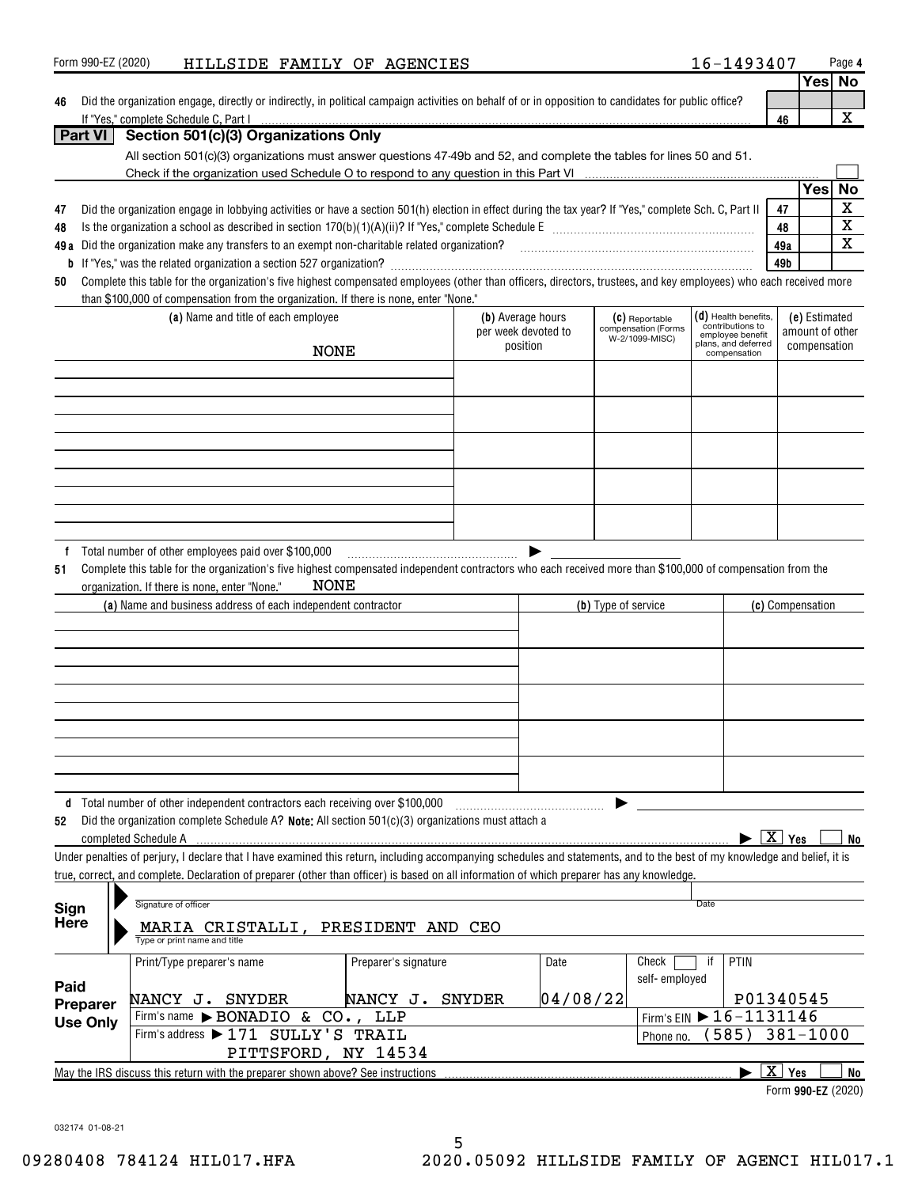| Form 990-EZ (2020) | HILLSIDE FAMILY OF AGENCIES |  |  |  | 16-1493407 | Page 4 |
|--------------------|-----------------------------|--|--|--|------------|--------|
|--------------------|-----------------------------|--|--|--|------------|--------|

| 46 Did the organization engage, directly or indirectly, in political campaign activities on behalf of or in opposition to candidates for public office? |  |
|---------------------------------------------------------------------------------------------------------------------------------------------------------|--|
| If "Yes." complete Schedule C. Part I                                                                                                                   |  |

| s<br>د | Νо |
|--------|----|
|        |    |
|        |    |

|                 | If "Yes," complete Schedule C, Part I                                                                                                                                                                          |                                          |          |                                       |                                            | 46                               | X           |
|-----------------|----------------------------------------------------------------------------------------------------------------------------------------------------------------------------------------------------------------|------------------------------------------|----------|---------------------------------------|--------------------------------------------|----------------------------------|-------------|
| <b>Part VI</b>  | Section 501(c)(3) Organizations Only                                                                                                                                                                           |                                          |          |                                       |                                            |                                  |             |
|                 | All section 501(c)(3) organizations must answer questions 47-49b and 52, and complete the tables for lines 50 and 51.                                                                                          |                                          |          |                                       |                                            |                                  |             |
|                 |                                                                                                                                                                                                                |                                          |          |                                       |                                            |                                  |             |
|                 |                                                                                                                                                                                                                |                                          |          |                                       |                                            | Yes                              | No          |
| 47              | Did the organization engage in lobbying activities or have a section 501(h) election in effect during the tax year? If "Yes," complete Sch. C, Part II                                                         |                                          |          |                                       |                                            | 47                               | $\mathbf X$ |
| 48              |                                                                                                                                                                                                                |                                          |          |                                       |                                            | 48                               | $\mathbf X$ |
|                 | 49a Did the organization make any transfers to an exempt non-charitable related organization?<br>2010 marrow material communication material material material material material material material material ma |                                          |          |                                       |                                            | 49a                              | $\mathbf X$ |
| b               |                                                                                                                                                                                                                |                                          |          |                                       |                                            | 49b                              |             |
| 50              | Complete this table for the organization's five highest compensated employees (other than officers, directors, trustees, and key employees) who each received more                                             |                                          |          |                                       |                                            |                                  |             |
|                 | than \$100,000 of compensation from the organization. If there is none, enter "None."                                                                                                                          |                                          |          |                                       |                                            |                                  |             |
|                 | (a) Name and title of each employee                                                                                                                                                                            | (b) Average hours<br>per week devoted to |          | (C) Reportable<br>compensation (Forms | $(d)$ Health benefits,<br>contributions to | (e) Estimated<br>amount of other |             |
|                 |                                                                                                                                                                                                                | position                                 |          | W-2/1099-MISC)                        | employee benefit<br>plans, and deferred    | compensation                     |             |
|                 | <b>NONE</b>                                                                                                                                                                                                    |                                          |          |                                       | compensation                               |                                  |             |
|                 |                                                                                                                                                                                                                |                                          |          |                                       |                                            |                                  |             |
|                 |                                                                                                                                                                                                                |                                          |          |                                       |                                            |                                  |             |
|                 |                                                                                                                                                                                                                |                                          |          |                                       |                                            |                                  |             |
|                 |                                                                                                                                                                                                                |                                          |          |                                       |                                            |                                  |             |
|                 |                                                                                                                                                                                                                |                                          |          |                                       |                                            |                                  |             |
|                 |                                                                                                                                                                                                                |                                          |          |                                       |                                            |                                  |             |
|                 |                                                                                                                                                                                                                |                                          |          |                                       |                                            |                                  |             |
|                 |                                                                                                                                                                                                                |                                          |          |                                       |                                            |                                  |             |
|                 |                                                                                                                                                                                                                |                                          |          |                                       |                                            |                                  |             |
|                 | Total number of other employees paid over \$100,000                                                                                                                                                            |                                          |          |                                       |                                            |                                  |             |
| 51              | Complete this table for the organization's five highest compensated independent contractors who each received more than \$100,000 of compensation from the                                                     |                                          |          |                                       |                                            |                                  |             |
|                 | <b>NONE</b><br>organization. If there is none, enter "None."                                                                                                                                                   |                                          |          |                                       |                                            |                                  |             |
|                 | (a) Name and business address of each independent contractor                                                                                                                                                   |                                          |          | (b) Type of service                   |                                            | (c) Compensation                 |             |
|                 |                                                                                                                                                                                                                |                                          |          |                                       |                                            |                                  |             |
|                 |                                                                                                                                                                                                                |                                          |          |                                       |                                            |                                  |             |
|                 |                                                                                                                                                                                                                |                                          |          |                                       |                                            |                                  |             |
|                 |                                                                                                                                                                                                                |                                          |          |                                       |                                            |                                  |             |
|                 |                                                                                                                                                                                                                |                                          |          |                                       |                                            |                                  |             |
|                 |                                                                                                                                                                                                                |                                          |          |                                       |                                            |                                  |             |
|                 |                                                                                                                                                                                                                |                                          |          |                                       |                                            |                                  |             |
|                 |                                                                                                                                                                                                                |                                          |          |                                       |                                            |                                  |             |
|                 |                                                                                                                                                                                                                |                                          |          |                                       |                                            |                                  |             |
|                 | d Total number of other independent contractors each receiving over \$100,000                                                                                                                                  |                                          |          |                                       |                                            |                                  |             |
| 52              | Did the organization complete Schedule A? Note: All section 501(c)(3) organizations must attach a                                                                                                              |                                          |          |                                       |                                            |                                  |             |
|                 | completed Schedule A                                                                                                                                                                                           |                                          |          |                                       |                                            | $\boxed{\text{X}}$ Yes           | No          |
|                 | Under penalties of perjury, I declare that I have examined this return, including accompanying schedules and statements, and to the best of my knowledge and belief, it is                                     |                                          |          |                                       |                                            |                                  |             |
|                 | true, correct, and complete. Declaration of preparer (other than officer) is based on all information of which preparer has any knowledge.                                                                     |                                          |          |                                       |                                            |                                  |             |
|                 |                                                                                                                                                                                                                |                                          |          |                                       |                                            |                                  |             |
| Sign            | Signature of officer                                                                                                                                                                                           |                                          |          |                                       | Date                                       |                                  |             |
| Here            | MARIA CRISTALLI, PRESIDENT AND CEO                                                                                                                                                                             |                                          |          |                                       |                                            |                                  |             |
|                 | Type or print name and title                                                                                                                                                                                   |                                          |          |                                       |                                            |                                  |             |
|                 | Print/Type preparer's name                                                                                                                                                                                     | Preparer's signature                     | Date     | Check                                 | PTIN<br>if                                 |                                  |             |
|                 |                                                                                                                                                                                                                |                                          |          | self-employed                         |                                            |                                  |             |
| Paid            | NANCY J. SNYDER                                                                                                                                                                                                | NANCY J. SNYDER                          | 04/08/22 |                                       |                                            | P01340545                        |             |
| Preparer        | Firm's name > BONADIO & CO., LLP                                                                                                                                                                               |                                          |          |                                       | Firm's EIN 16-1131146                      |                                  |             |
| <b>Use Only</b> | Firm's address > 171 SULLY'S TRAIL                                                                                                                                                                             |                                          |          | Phone no.                             | 585)                                       | $381 - 1000$                     |             |
|                 | PITTSFORD, NY 14534                                                                                                                                                                                            |                                          |          |                                       |                                            |                                  |             |
|                 |                                                                                                                                                                                                                |                                          |          |                                       |                                            | $\boxed{\text{X}}$ Yes           | <b>No</b>   |

Form 990-EZ (2020)

032174 01-08-21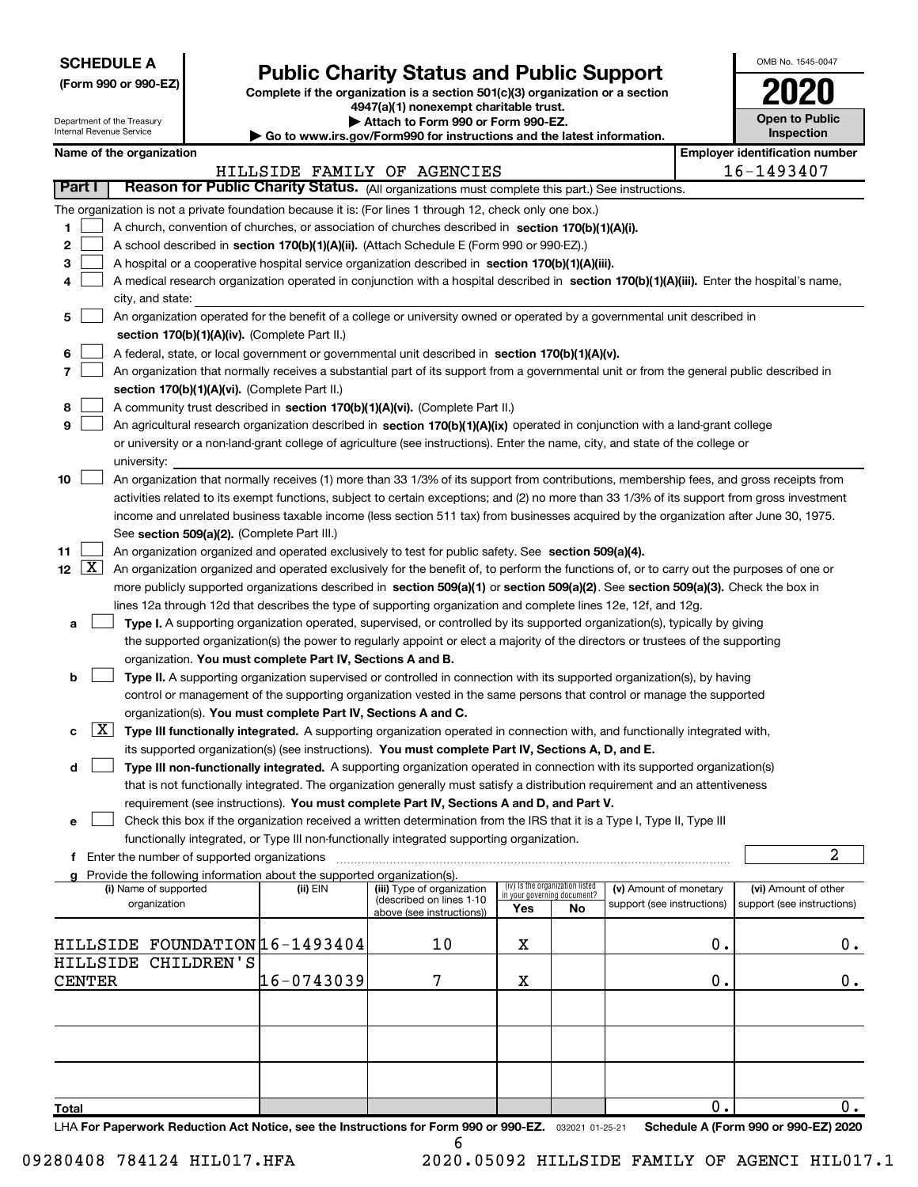| <b>SCHEDULE A</b> |
|-------------------|
|-------------------|

Department of the Treasury Internal Revenue Service

# Public Charity Status and Public Support

(Form 990 or 990-EZ) Complete if the organization is a section 501(c)(3) organization or a section 4947(a)(1) nonexempt charitable trust.

| Attach to Form 990 or Form 990-EZ.

| Go to www.irs.gov/Form990 for instructions and the latest information.

| OMB No 1545-0047                    |
|-------------------------------------|
| 2020                                |
| <b>Open to Public</b><br>Inspection |

| Name of the organization                                                                                                                                       |                                                                                                                                            |                                                       |                             |                                 |                            |               | <b>Employer identification number</b> |  |  |  |  |
|----------------------------------------------------------------------------------------------------------------------------------------------------------------|--------------------------------------------------------------------------------------------------------------------------------------------|-------------------------------------------------------|-----------------------------|---------------------------------|----------------------------|---------------|---------------------------------------|--|--|--|--|
|                                                                                                                                                                |                                                                                                                                            | HILLSIDE FAMILY OF AGENCIES                           |                             |                                 |                            |               | 16-1493407                            |  |  |  |  |
| Part I<br>Reason for Public Charity Status. (All organizations must complete this part.) See instructions.                                                     |                                                                                                                                            |                                                       |                             |                                 |                            |               |                                       |  |  |  |  |
| The organization is not a private foundation because it is: (For lines 1 through 12, check only one box.)                                                      |                                                                                                                                            |                                                       |                             |                                 |                            |               |                                       |  |  |  |  |
| 1                                                                                                                                                              | A church, convention of churches, or association of churches described in section 170(b)(1)(A)(i).                                         |                                                       |                             |                                 |                            |               |                                       |  |  |  |  |
| 2                                                                                                                                                              | A school described in section 170(b)(1)(A)(ii). (Attach Schedule E (Form 990 or 990-EZ).)                                                  |                                                       |                             |                                 |                            |               |                                       |  |  |  |  |
| A hospital or a cooperative hospital service organization described in section 170(b)(1)(A)(iii).<br>3                                                         |                                                                                                                                            |                                                       |                             |                                 |                            |               |                                       |  |  |  |  |
| 4                                                                                                                                                              | A medical research organization operated in conjunction with a hospital described in section 170(b)(1)(A)(iii). Enter the hospital's name, |                                                       |                             |                                 |                            |               |                                       |  |  |  |  |
| city, and state:                                                                                                                                               |                                                                                                                                            |                                                       |                             |                                 |                            |               |                                       |  |  |  |  |
| 5                                                                                                                                                              | An organization operated for the benefit of a college or university owned or operated by a governmental unit described in                  |                                                       |                             |                                 |                            |               |                                       |  |  |  |  |
|                                                                                                                                                                | section 170(b)(1)(A)(iv). (Complete Part II.)                                                                                              |                                                       |                             |                                 |                            |               |                                       |  |  |  |  |
| A federal, state, or local government or governmental unit described in section 170(b)(1)(A)(v).<br>6                                                          |                                                                                                                                            |                                                       |                             |                                 |                            |               |                                       |  |  |  |  |
| 7<br>An organization that normally receives a substantial part of its support from a governmental unit or from the general public described in                 |                                                                                                                                            |                                                       |                             |                                 |                            |               |                                       |  |  |  |  |
| section 170(b)(1)(A)(vi). (Complete Part II.)                                                                                                                  |                                                                                                                                            |                                                       |                             |                                 |                            |               |                                       |  |  |  |  |
| A community trust described in section 170(b)(1)(A)(vi). (Complete Part II.)<br>8                                                                              |                                                                                                                                            |                                                       |                             |                                 |                            |               |                                       |  |  |  |  |
| 9<br>An agricultural research organization described in section 170(b)(1)(A)(ix) operated in conjunction with a land-grant college                             |                                                                                                                                            |                                                       |                             |                                 |                            |               |                                       |  |  |  |  |
| or university or a non-land-grant college of agriculture (see instructions). Enter the name, city, and state of the college or                                 |                                                                                                                                            |                                                       |                             |                                 |                            |               |                                       |  |  |  |  |
| university:                                                                                                                                                    |                                                                                                                                            |                                                       |                             |                                 |                            |               |                                       |  |  |  |  |
| An organization that normally receives (1) more than 33 1/3% of its support from contributions, membership fees, and gross receipts from<br>10                 |                                                                                                                                            |                                                       |                             |                                 |                            |               |                                       |  |  |  |  |
| activities related to its exempt functions, subject to certain exceptions; and (2) no more than 33 1/3% of its support from gross investment                   |                                                                                                                                            |                                                       |                             |                                 |                            |               |                                       |  |  |  |  |
| income and unrelated business taxable income (less section 511 tax) from businesses acquired by the organization after June 30, 1975.                          |                                                                                                                                            |                                                       |                             |                                 |                            |               |                                       |  |  |  |  |
| See section 509(a)(2). (Complete Part III.)                                                                                                                    |                                                                                                                                            |                                                       |                             |                                 |                            |               |                                       |  |  |  |  |
| 11<br>An organization organized and operated exclusively to test for public safety. See section 509(a)(4).                                                     |                                                                                                                                            |                                                       |                             |                                 |                            |               |                                       |  |  |  |  |
| $12 \mid X \mid$<br>An organization organized and operated exclusively for the benefit of, to perform the functions of, or to carry out the purposes of one or |                                                                                                                                            |                                                       |                             |                                 |                            |               |                                       |  |  |  |  |
| more publicly supported organizations described in section 509(a)(1) or section 509(a)(2). See section 509(a)(3). Check the box in                             |                                                                                                                                            |                                                       |                             |                                 |                            |               |                                       |  |  |  |  |
| lines 12a through 12d that describes the type of supporting organization and complete lines 12e, 12f, and 12g.                                                 |                                                                                                                                            |                                                       |                             |                                 |                            |               |                                       |  |  |  |  |
| Type I. A supporting organization operated, supervised, or controlled by its supported organization(s), typically by giving<br>a                               |                                                                                                                                            |                                                       |                             |                                 |                            |               |                                       |  |  |  |  |
| the supported organization(s) the power to regularly appoint or elect a majority of the directors or trustees of the supporting                                |                                                                                                                                            |                                                       |                             |                                 |                            |               |                                       |  |  |  |  |
| organization. You must complete Part IV, Sections A and B.                                                                                                     |                                                                                                                                            |                                                       |                             |                                 |                            |               |                                       |  |  |  |  |
| Type II. A supporting organization supervised or controlled in connection with its supported organization(s), by having<br>b                                   |                                                                                                                                            |                                                       |                             |                                 |                            |               |                                       |  |  |  |  |
| control or management of the supporting organization vested in the same persons that control or manage the supported                                           |                                                                                                                                            |                                                       |                             |                                 |                            |               |                                       |  |  |  |  |
| organization(s). You must complete Part IV, Sections A and C.                                                                                                  |                                                                                                                                            |                                                       |                             |                                 |                            |               |                                       |  |  |  |  |
| $\lfloor x \rfloor$<br>Type III functionally integrated. A supporting organization operated in connection with, and functionally integrated with,<br>с         |                                                                                                                                            |                                                       |                             |                                 |                            |               |                                       |  |  |  |  |
| its supported organization(s) (see instructions). You must complete Part IV, Sections A, D, and E.                                                             |                                                                                                                                            |                                                       |                             |                                 |                            |               |                                       |  |  |  |  |
| Type III non-functionally integrated. A supporting organization operated in connection with its supported organization(s)<br>d                                 |                                                                                                                                            |                                                       |                             |                                 |                            |               |                                       |  |  |  |  |
| that is not functionally integrated. The organization generally must satisfy a distribution requirement and an attentiveness                                   |                                                                                                                                            |                                                       |                             |                                 |                            |               |                                       |  |  |  |  |
| requirement (see instructions). You must complete Part IV, Sections A and D, and Part V.                                                                       |                                                                                                                                            |                                                       |                             |                                 |                            |               |                                       |  |  |  |  |
| Check this box if the organization received a written determination from the IRS that it is a Type I, Type II, Type III                                        |                                                                                                                                            |                                                       |                             |                                 |                            |               |                                       |  |  |  |  |
| functionally integrated, or Type III non-functionally integrated supporting organization.                                                                      |                                                                                                                                            |                                                       |                             |                                 |                            |               |                                       |  |  |  |  |
| f Enter the number of supported organizations                                                                                                                  |                                                                                                                                            |                                                       |                             |                                 |                            |               | 2                                     |  |  |  |  |
| g Provide the following information about the supported organization(s).                                                                                       |                                                                                                                                            |                                                       |                             |                                 |                            |               |                                       |  |  |  |  |
| (i) Name of supported                                                                                                                                          | (ii) EIN                                                                                                                                   | (iii) Type of organization                            | in your governing document? | (iv) Is the organization listed | (v) Amount of monetary     |               | (vi) Amount of other                  |  |  |  |  |
| organization                                                                                                                                                   |                                                                                                                                            | (described on lines 1-10<br>above (see instructions)) | Yes                         | No                              | support (see instructions) |               | support (see instructions)            |  |  |  |  |
|                                                                                                                                                                |                                                                                                                                            |                                                       |                             |                                 |                            |               |                                       |  |  |  |  |
| HILLSIDE FOUNDATION 16-1493404                                                                                                                                 |                                                                                                                                            | 10                                                    | х                           |                                 |                            | 0.            | 0.                                    |  |  |  |  |
| CHILDREN'S<br>HILLSIDE                                                                                                                                         |                                                                                                                                            |                                                       |                             |                                 |                            |               |                                       |  |  |  |  |
| <b>CENTER</b>                                                                                                                                                  | 16-0743039                                                                                                                                 | 7                                                     | X                           |                                 |                            | 0.            | 0.                                    |  |  |  |  |
|                                                                                                                                                                |                                                                                                                                            |                                                       |                             |                                 |                            |               |                                       |  |  |  |  |
|                                                                                                                                                                |                                                                                                                                            |                                                       |                             |                                 |                            |               |                                       |  |  |  |  |
|                                                                                                                                                                |                                                                                                                                            |                                                       |                             |                                 |                            |               |                                       |  |  |  |  |
|                                                                                                                                                                |                                                                                                                                            |                                                       |                             |                                 |                            |               |                                       |  |  |  |  |
|                                                                                                                                                                |                                                                                                                                            |                                                       |                             |                                 |                            |               |                                       |  |  |  |  |
|                                                                                                                                                                |                                                                                                                                            |                                                       |                             |                                 |                            |               |                                       |  |  |  |  |
| Total                                                                                                                                                          |                                                                                                                                            |                                                       |                             |                                 |                            | $\mathbf 0$ . | 0.                                    |  |  |  |  |
| LHA For Paperwork Reduction Act Notice, see the Instructions for Form 990 or 990-EZ. 032021 01-25-21                                                           |                                                                                                                                            |                                                       |                             |                                 |                            |               | Schedule A (Form 990 or 990-EZ) 2020  |  |  |  |  |

6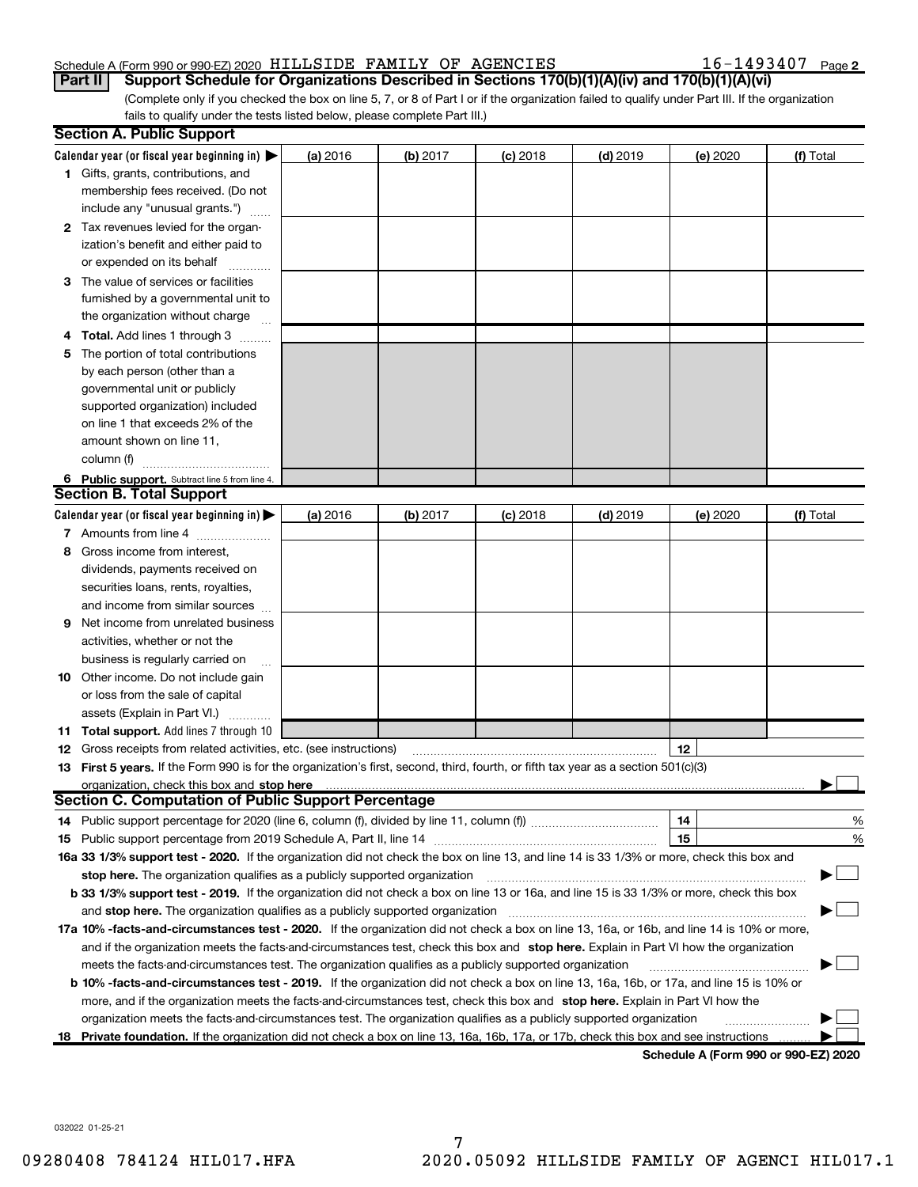16-1493407 Page 2

(Complete only if you checked the box on line 5, 7, or 8 of Part I or if the organization failed to qualify under Part III. If the organization fails to qualify under the tests listed below, please complete Part III.) Part II | Support Schedule for Organizations Described in Sections 170(b)(1)(A)(iv) and 170(b)(1)(A)(vi)

|   | <b>Section A. Public Support</b>                                                                                                                                                                                                                       |          |          |            |            |          |                                      |
|---|--------------------------------------------------------------------------------------------------------------------------------------------------------------------------------------------------------------------------------------------------------|----------|----------|------------|------------|----------|--------------------------------------|
|   | Calendar year (or fiscal year beginning in) $\blacktriangleright$                                                                                                                                                                                      | (a) 2016 | (b) 2017 | $(c)$ 2018 | $(d)$ 2019 | (e) 2020 | (f) Total                            |
|   | 1 Gifts, grants, contributions, and<br>membership fees received. (Do not                                                                                                                                                                               |          |          |            |            |          |                                      |
|   | include any "unusual grants.")                                                                                                                                                                                                                         |          |          |            |            |          |                                      |
|   | 2 Tax revenues levied for the organ-                                                                                                                                                                                                                   |          |          |            |            |          |                                      |
|   | ization's benefit and either paid to                                                                                                                                                                                                                   |          |          |            |            |          |                                      |
|   | or expended on its behalf                                                                                                                                                                                                                              |          |          |            |            |          |                                      |
|   | 3 The value of services or facilities                                                                                                                                                                                                                  |          |          |            |            |          |                                      |
|   | furnished by a governmental unit to                                                                                                                                                                                                                    |          |          |            |            |          |                                      |
|   | the organization without charge                                                                                                                                                                                                                        |          |          |            |            |          |                                      |
|   | <b>Total.</b> Add lines 1 through 3                                                                                                                                                                                                                    |          |          |            |            |          |                                      |
| 5 | The portion of total contributions                                                                                                                                                                                                                     |          |          |            |            |          |                                      |
|   | by each person (other than a                                                                                                                                                                                                                           |          |          |            |            |          |                                      |
|   | governmental unit or publicly                                                                                                                                                                                                                          |          |          |            |            |          |                                      |
|   | supported organization) included                                                                                                                                                                                                                       |          |          |            |            |          |                                      |
|   | on line 1 that exceeds 2% of the                                                                                                                                                                                                                       |          |          |            |            |          |                                      |
|   | amount shown on line 11,                                                                                                                                                                                                                               |          |          |            |            |          |                                      |
|   | column (f)                                                                                                                                                                                                                                             |          |          |            |            |          |                                      |
|   | 6 Public support. Subtract line 5 from line 4.<br><b>Section B. Total Support</b>                                                                                                                                                                      |          |          |            |            |          |                                      |
|   | Calendar year (or fiscal year beginning in) $\blacktriangleright$                                                                                                                                                                                      | (a) 2016 | (b) 2017 | $(c)$ 2018 | $(d)$ 2019 | (e) 2020 | (f) Total                            |
|   | 7 Amounts from line 4                                                                                                                                                                                                                                  |          |          |            |            |          |                                      |
| 8 | Gross income from interest.                                                                                                                                                                                                                            |          |          |            |            |          |                                      |
|   | dividends, payments received on                                                                                                                                                                                                                        |          |          |            |            |          |                                      |
|   | securities loans, rents, royalties,                                                                                                                                                                                                                    |          |          |            |            |          |                                      |
|   | and income from similar sources                                                                                                                                                                                                                        |          |          |            |            |          |                                      |
| 9 | Net income from unrelated business                                                                                                                                                                                                                     |          |          |            |            |          |                                      |
|   | activities, whether or not the                                                                                                                                                                                                                         |          |          |            |            |          |                                      |
|   | business is regularly carried on                                                                                                                                                                                                                       |          |          |            |            |          |                                      |
|   | <b>10</b> Other income. Do not include gain                                                                                                                                                                                                            |          |          |            |            |          |                                      |
|   | or loss from the sale of capital                                                                                                                                                                                                                       |          |          |            |            |          |                                      |
|   | assets (Explain in Part VI.)                                                                                                                                                                                                                           |          |          |            |            |          |                                      |
|   | <b>11 Total support.</b> Add lines 7 through 10                                                                                                                                                                                                        |          |          |            |            |          |                                      |
|   | <b>12</b> Gross receipts from related activities, etc. (see instructions)                                                                                                                                                                              |          |          |            |            | 12       |                                      |
|   | 13 First 5 years. If the Form 990 is for the organization's first, second, third, fourth, or fifth tax year as a section 501(c)(3)                                                                                                                     |          |          |            |            |          |                                      |
|   | organization, check this box and stop here                                                                                                                                                                                                             |          |          |            |            |          |                                      |
|   | <b>Section C. Computation of Public Support Percentage</b>                                                                                                                                                                                             |          |          |            |            |          |                                      |
|   | 14 Public support percentage for 2020 (line 6, column (f), divided by line 11, column (f) <i>mummumumum</i>                                                                                                                                            |          |          |            |            | 14       | %                                    |
|   |                                                                                                                                                                                                                                                        |          |          |            |            | 15       | %                                    |
|   | 16a 33 1/3% support test - 2020. If the organization did not check the box on line 13, and line 14 is 33 1/3% or more, check this box and                                                                                                              |          |          |            |            |          |                                      |
|   | stop here. The organization qualifies as a publicly supported organization                                                                                                                                                                             |          |          |            |            |          |                                      |
|   | b 33 1/3% support test - 2019. If the organization did not check a box on line 13 or 16a, and line 15 is 33 1/3% or more, check this box                                                                                                               |          |          |            |            |          |                                      |
|   | and stop here. The organization qualifies as a publicly supported organization                                                                                                                                                                         |          |          |            |            |          |                                      |
|   | 17a 10% -facts-and-circumstances test - 2020. If the organization did not check a box on line 13, 16a, or 16b, and line 14 is 10% or more,                                                                                                             |          |          |            |            |          |                                      |
|   | and if the organization meets the facts and circumstances test, check this box and stop here. Explain in Part VI how the organization                                                                                                                  |          |          |            |            |          |                                      |
|   | meets the facts-and-circumstances test. The organization qualifies as a publicly supported organization                                                                                                                                                |          |          |            |            |          |                                      |
|   | b 10% -facts-and-circumstances test - 2019. If the organization did not check a box on line 13, 16a, 16b, or 17a, and line 15 is 10% or                                                                                                                |          |          |            |            |          |                                      |
|   | more, and if the organization meets the facts-and-circumstances test, check this box and stop here. Explain in Part VI how the<br>organization meets the facts-and-circumstances test. The organization qualifies as a publicly supported organization |          |          |            |            |          |                                      |
|   | 18 Private foundation. If the organization did not check a box on line 13, 16a, 16b, 17a, or 17b, check this box and see instructions                                                                                                                  |          |          |            |            |          |                                      |
|   |                                                                                                                                                                                                                                                        |          |          |            |            |          | Schedule A (Form 990 or 990-EZ) 2020 |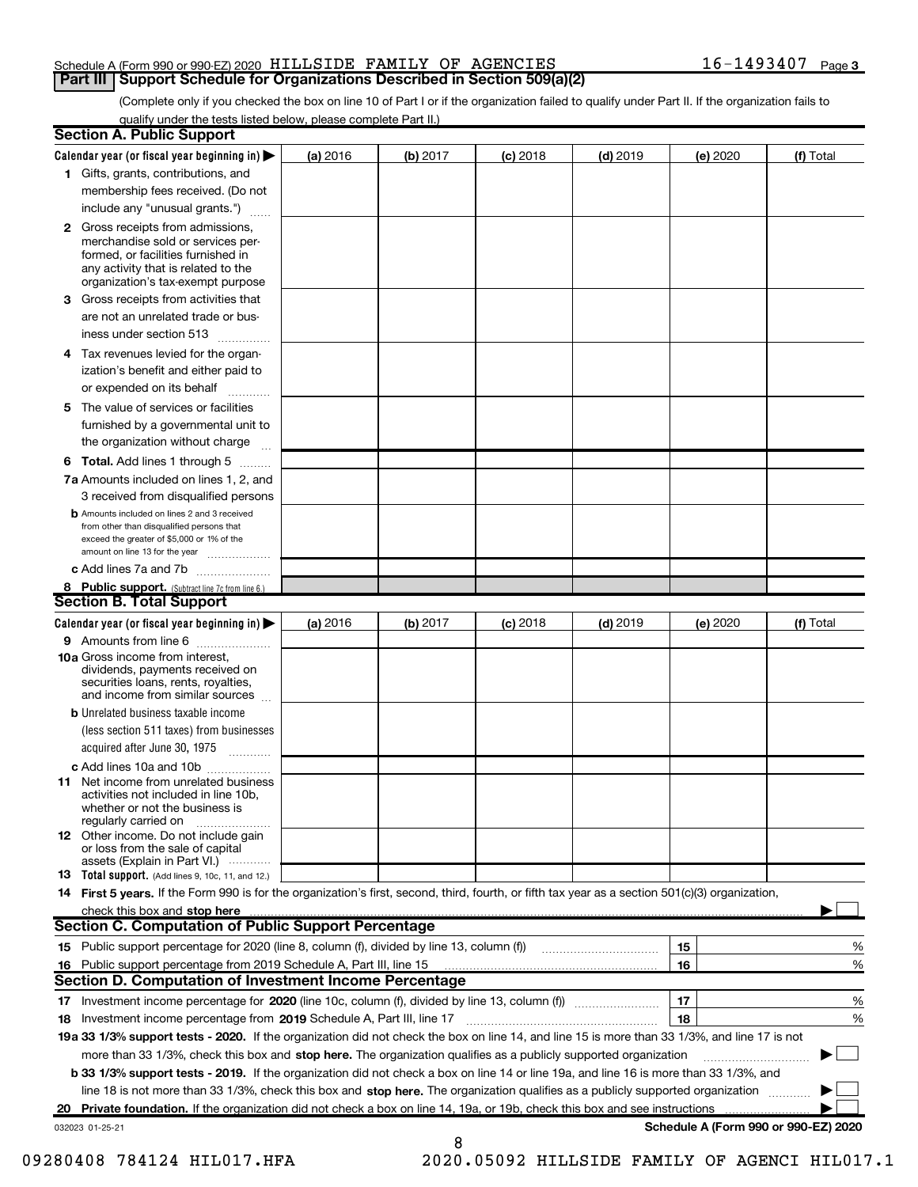#### Schedule A (Form 990 or 990-EZ) 2020 HILLSIDE FAMILY OF AGENCIES  $16-1493407$  Page **Part III | Support Schedule for Organizations Described in Section 509(a)(2)**

(Complete only if you checked the box on line 10 of Part I or if the organization failed to qualify under Part II. If the organization fails to qualify under the tests listed below, please complete Part II.)

|    | <b>Section A. Public Support</b>                                                                                                                                                         |          |          |            |            |                                      |           |
|----|------------------------------------------------------------------------------------------------------------------------------------------------------------------------------------------|----------|----------|------------|------------|--------------------------------------|-----------|
|    | Calendar year (or fiscal year beginning in) $\blacktriangleright$                                                                                                                        | (a) 2016 | (b) 2017 | $(c)$ 2018 | $(d)$ 2019 | (e) 2020                             | (f) Total |
|    | 1 Gifts, grants, contributions, and                                                                                                                                                      |          |          |            |            |                                      |           |
|    | membership fees received. (Do not                                                                                                                                                        |          |          |            |            |                                      |           |
|    | include any "unusual grants.")                                                                                                                                                           |          |          |            |            |                                      |           |
|    | 2 Gross receipts from admissions,<br>merchandise sold or services per-<br>formed, or facilities furnished in<br>any activity that is related to the<br>organization's tax-exempt purpose |          |          |            |            |                                      |           |
| З  | Gross receipts from activities that                                                                                                                                                      |          |          |            |            |                                      |           |
|    | are not an unrelated trade or bus-                                                                                                                                                       |          |          |            |            |                                      |           |
|    | iness under section 513                                                                                                                                                                  |          |          |            |            |                                      |           |
|    | 4 Tax revenues levied for the organ-<br>ization's benefit and either paid to                                                                                                             |          |          |            |            |                                      |           |
|    | or expended on its behalf                                                                                                                                                                |          |          |            |            |                                      |           |
|    | 5 The value of services or facilities                                                                                                                                                    |          |          |            |            |                                      |           |
|    | furnished by a governmental unit to                                                                                                                                                      |          |          |            |            |                                      |           |
|    | the organization without charge                                                                                                                                                          |          |          |            |            |                                      |           |
|    | <b>6 Total.</b> Add lines 1 through 5 $\dots$                                                                                                                                            |          |          |            |            |                                      |           |
|    | 7a Amounts included on lines 1, 2, and<br>3 received from disqualified persons                                                                                                           |          |          |            |            |                                      |           |
|    | <b>b</b> Amounts included on lines 2 and 3 received<br>from other than disqualified persons that<br>exceed the greater of \$5,000 or 1% of the<br>amount on line 13 for the year         |          |          |            |            |                                      |           |
|    | c Add lines 7a and 7b                                                                                                                                                                    |          |          |            |            |                                      |           |
|    | 8 Public support. (Subtract line 7c from line 6.)                                                                                                                                        |          |          |            |            |                                      |           |
|    | <b>Section B. Total Support</b>                                                                                                                                                          |          |          |            |            |                                      |           |
|    | Calendar year (or fiscal year beginning in) $\blacktriangleright$                                                                                                                        | (a) 2016 | (b) 2017 | $(c)$ 2018 | $(d)$ 2019 | (e) 2020                             | (f) Total |
|    | 9 Amounts from line 6                                                                                                                                                                    |          |          |            |            |                                      |           |
|    | 10a Gross income from interest,<br>dividends, payments received on<br>securities loans, rents, royalties,<br>and income from similar sources                                             |          |          |            |            |                                      |           |
|    | <b>b</b> Unrelated business taxable income<br>(less section 511 taxes) from businesses<br>acquired after June 30, 1975                                                                   |          |          |            |            |                                      |           |
|    | c Add lines 10a and 10b                                                                                                                                                                  |          |          |            |            |                                      |           |
|    | <b>11</b> Net income from unrelated business<br>activities not included in line 10b,<br>whether or not the business is<br>regularly carried on                                           |          |          |            |            |                                      |           |
|    | <b>12</b> Other income. Do not include gain<br>or loss from the sale of capital<br>assets (Explain in Part VI.)                                                                          |          |          |            |            |                                      |           |
|    | <b>13</b> Total support. (Add lines 9, 10c, 11, and 12.)                                                                                                                                 |          |          |            |            |                                      |           |
|    | 14 First 5 years. If the Form 990 is for the organization's first, second, third, fourth, or fifth tax year as a section 501(c)(3) organization,                                         |          |          |            |            |                                      |           |
|    | check this box and stop here                                                                                                                                                             |          |          |            |            |                                      |           |
|    | <b>Section C. Computation of Public Support Percentage</b>                                                                                                                               |          |          |            |            |                                      |           |
|    | 15 Public support percentage for 2020 (line 8, column (f), divided by line 13, column (f))                                                                                               |          |          |            |            | 15                                   | %         |
|    | 16 Public support percentage from 2019 Schedule A, Part III, line 15                                                                                                                     |          |          |            |            | 16                                   | %         |
|    | <b>Section D. Computation of Investment Income Percentage</b>                                                                                                                            |          |          |            |            |                                      |           |
|    |                                                                                                                                                                                          |          |          |            |            | 17                                   | %         |
|    | 18 Investment income percentage from 2019 Schedule A, Part III, line 17                                                                                                                  |          |          |            |            | 18                                   | %         |
|    | 19a 33 1/3% support tests - 2020. If the organization did not check the box on line 14, and line 15 is more than 33 1/3%, and line 17 is not                                             |          |          |            |            |                                      |           |
|    | more than 33 1/3%, check this box and stop here. The organization qualifies as a publicly supported organization                                                                         |          |          |            |            |                                      |           |
|    | b 33 1/3% support tests - 2019. If the organization did not check a box on line 14 or line 19a, and line 16 is more than 33 1/3%, and                                                    |          |          |            |            |                                      |           |
|    | line 18 is not more than 33 1/3%, check this box and stop here. The organization qualifies as a publicly supported organization                                                          |          |          |            |            |                                      |           |
| 20 | Private foundation. If the organization did not check a box on line 14, 19a, or 19b, check this box and see instructions                                                                 |          |          |            |            |                                      |           |
|    | 032023 01-25-21                                                                                                                                                                          |          |          |            |            | Schedule A (Form 990 or 990-EZ) 2020 |           |
|    |                                                                                                                                                                                          |          | 8        |            |            |                                      |           |

<sup>09280408 784124</sup> HIL017.HFA 2020.05092 HILLSIDE FAMILY OF AGENCI HIL017.1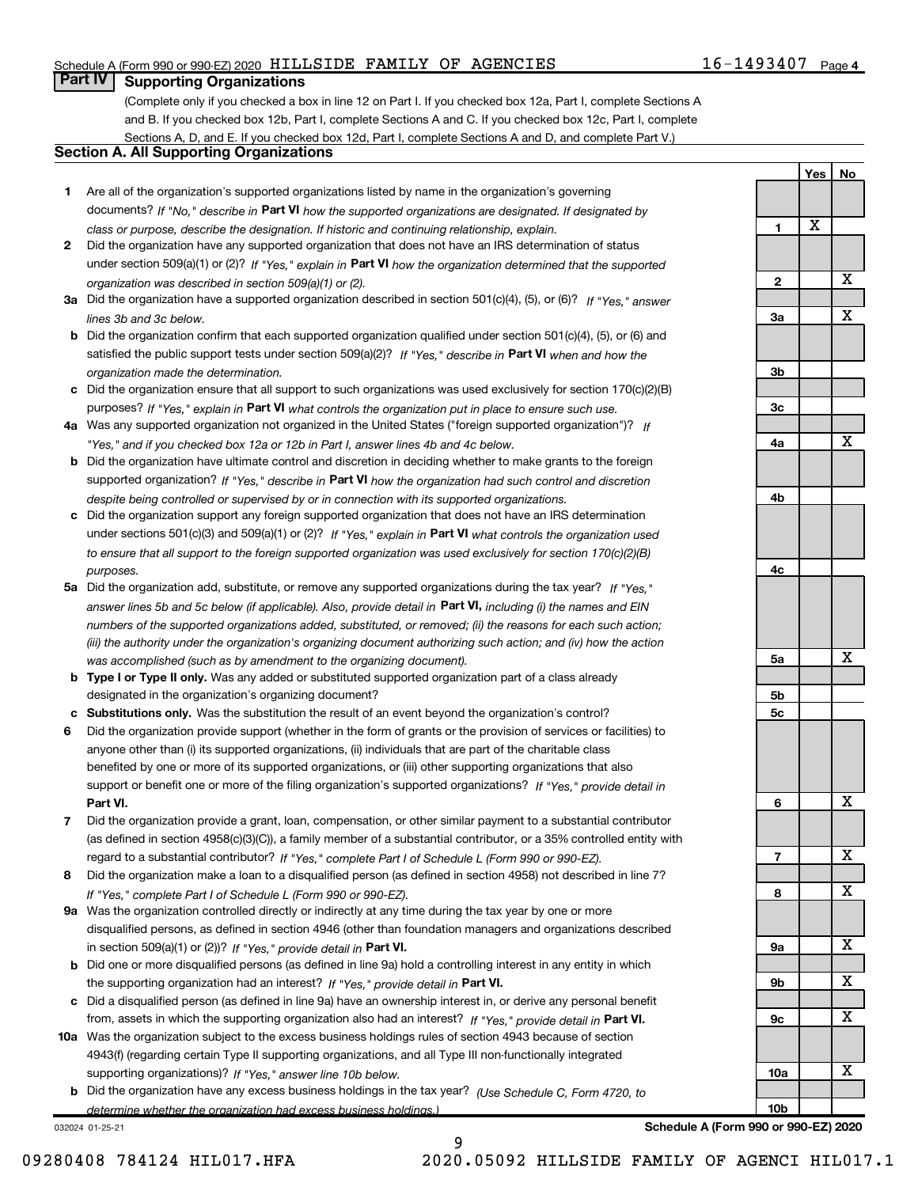# $16 - 1493407$  Page 4

Yes | No

# **Part IV | Supporting Organizations**

(Complete only if you checked a box in line 12 on Part I. If you checked box 12a, Part I, complete Sections A and B. If you checked box 12b, Part I, complete Sections A and C. If you checked box 12c, Part I, complete Sections A, D, and E. If you checked box 12d, Part I, complete Sections A and D, and complete Part V.)

#### Section A. All Supporting Organizations

- 1 Are all of the organization's supported organizations listed by name in the organization's governing documents? If "No," describe in Part VI how the supported organizations are designated. If designated by class or purpose, describe the designation. If historic and continuing relationship, explain.
- 2 Did the organization have any supported organization that does not have an IRS determination of status under section 509(a)(1) or (2)? If "Yes," explain in Part VI how the organization determined that the supported organization was described in section 509(a)(1) or (2).
- 3a Did the organization have a supported organization described in section 501(c)(4), (5), or (6)? If "Yes," answer lines 3b and 3c below.
- b Did the organization confirm that each supported organization qualified under section 501(c)(4), (5), or (6) and satisfied the public support tests under section 509(a)(2)? If "Yes," describe in Part VI when and how the organization made the determination.
- c Did the organization ensure that all support to such organizations was used exclusively for section 170(c)(2)(B) purposes? If "Yes," explain in Part VI what controls the organization put in place to ensure such use.
- 4a Was any supported organization not organized in the United States ("foreign supported organization")? If "Yes," and if you checked box 12a or 12b in Part I, answer lines 4b and 4c below.
- b Did the organization have ultimate control and discretion in deciding whether to make grants to the foreign supported organization? If "Yes," describe in Part VI how the organization had such control and discretion despite being controlled or supervised by or in connection with its supported organizations.
- c Did the organization support any foreign supported organization that does not have an IRS determination under sections 501(c)(3) and 509(a)(1) or (2)? If "Yes," explain in Part VI what controls the organization used to ensure that all support to the foreign supported organization was used exclusively for section 170(c)(2)(B) purposes.
- 5a Did the organization add, substitute, or remove any supported organizations during the tax year? If "Yes," answer lines 5b and 5c below (if applicable). Also, provide detail in **Part VI,** including (i) the names and EIN numbers of the supported organizations added, substituted, or removed; (ii) the reasons for each such action; (iii) the authority under the organization's organizing document authorizing such action; and (iv) how the action was accomplished (such as by amendment to the organizing document).
- **b Type I or Type II only.** Was any added or substituted supported organization part of a class already designated in the organization's organizing document?
- c Substitutions only. Was the substitution the result of an event beyond the organization's control?
- 6 Did the organization provide support (whether in the form of grants or the provision of services or facilities) to Part VI. support or benefit one or more of the filing organization's supported organizations? If "Yes," provide detail in anyone other than (i) its supported organizations, (ii) individuals that are part of the charitable class benefited by one or more of its supported organizations, or (iii) other supporting organizations that also
- 7 Did the organization provide a grant, loan, compensation, or other similar payment to a substantial contributor regard to a substantial contributor? If "Yes," complete Part I of Schedule L (Form 990 or 990-EZ). (as defined in section 4958(c)(3)(C)), a family member of a substantial contributor, or a 35% controlled entity with
- 8 Did the organization make a loan to a disqualified person (as defined in section 4958) not described in line 7? If "Yes," complete Part I of Schedule L (Form 990 or 990-EZ).
- **9a** Was the organization controlled directly or indirectly at any time during the tax year by one or more in section 509(a)(1) or (2))? If "Yes," provide detail in Part VI. disqualified persons, as defined in section 4946 (other than foundation managers and organizations described
- b the supporting organization had an interest? If "Yes," provide detail in Part VI. Did one or more disqualified persons (as defined in line 9a) hold a controlling interest in any entity in which
- c Did a disqualified person (as defined in line 9a) have an ownership interest in, or derive any personal benefit from, assets in which the supporting organization also had an interest? If "Yes," provide detail in Part VI.
- 10a Was the organization subject to the excess business holdings rules of section 4943 because of section supporting organizations)? If "Yes," answer line 10b below. 4943(f) (regarding certain Type II supporting organizations, and all Type III non-functionally integrated
- **b** Did the organization have any excess business holdings in the tax year? (Use Schedule C, Form 4720, to determine whether the organization had excess business holdings.)

9

032024 01-25-21



Schedule A (Form 990 or 990-EZ) 2020

09280408 784124 HIL017.HFA 2020.05092 HILLSIDE FAMILY OF AGENCI HIL017.1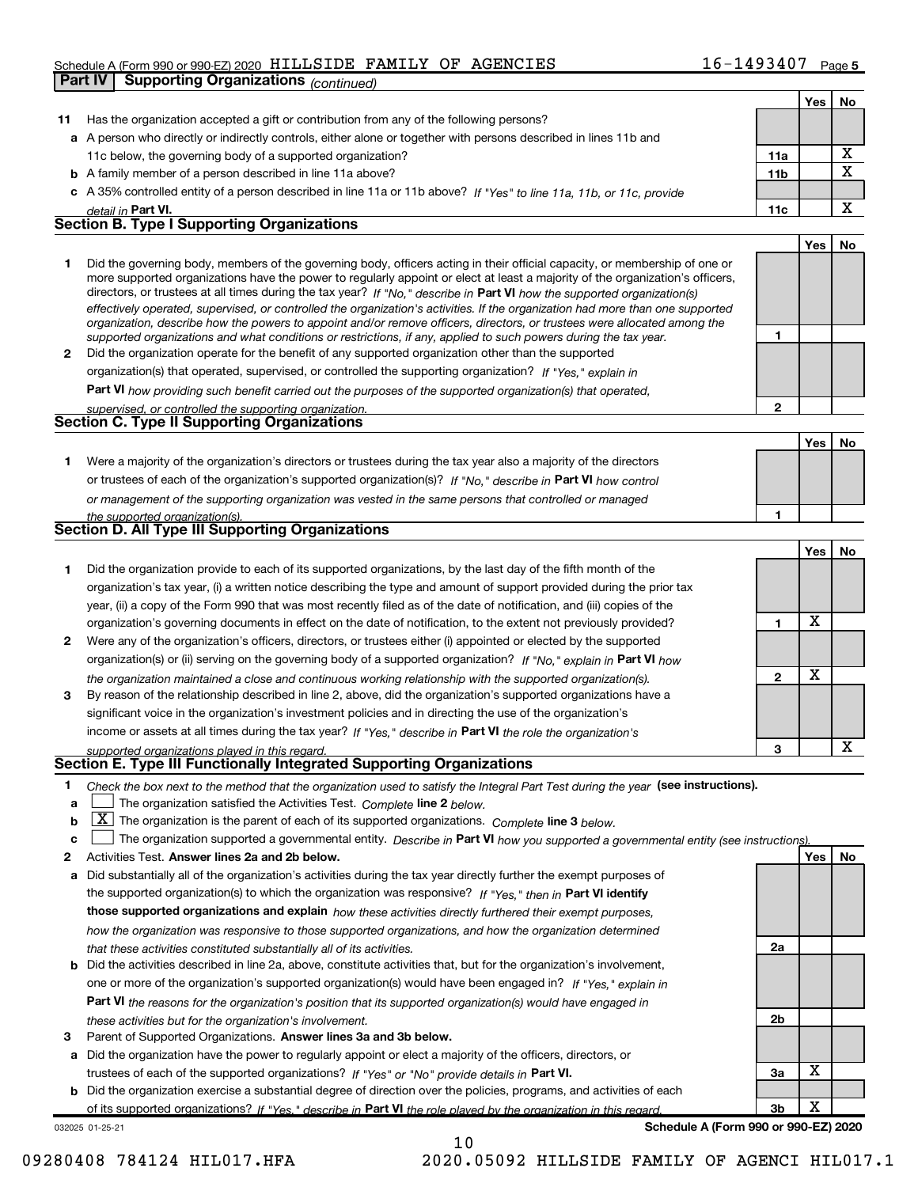| $16 - 1493407$ Page 5 |  |
|-----------------------|--|
|-----------------------|--|

|              | <b>Supporting Organizations (continued)</b><br><b>Part IV</b>                                                                                                                                                                                                                                                                                                                                                                                                                                                                                                                                                                                        |                 |     |             |
|--------------|------------------------------------------------------------------------------------------------------------------------------------------------------------------------------------------------------------------------------------------------------------------------------------------------------------------------------------------------------------------------------------------------------------------------------------------------------------------------------------------------------------------------------------------------------------------------------------------------------------------------------------------------------|-----------------|-----|-------------|
|              |                                                                                                                                                                                                                                                                                                                                                                                                                                                                                                                                                                                                                                                      |                 | Yes | No          |
| 11           | Has the organization accepted a gift or contribution from any of the following persons?                                                                                                                                                                                                                                                                                                                                                                                                                                                                                                                                                              |                 |     |             |
|              | a A person who directly or indirectly controls, either alone or together with persons described in lines 11b and                                                                                                                                                                                                                                                                                                                                                                                                                                                                                                                                     |                 |     |             |
|              | 11c below, the governing body of a supported organization?                                                                                                                                                                                                                                                                                                                                                                                                                                                                                                                                                                                           | 11a             |     | X           |
|              | <b>b</b> A family member of a person described in line 11a above?                                                                                                                                                                                                                                                                                                                                                                                                                                                                                                                                                                                    | 11 <sub>b</sub> |     | $\mathbf X$ |
|              | c A 35% controlled entity of a person described in line 11a or 11b above? If "Yes" to line 11a, 11b, or 11c, provide                                                                                                                                                                                                                                                                                                                                                                                                                                                                                                                                 |                 |     |             |
|              | detail in Part VI.                                                                                                                                                                                                                                                                                                                                                                                                                                                                                                                                                                                                                                   | 11c             |     | X           |
|              | <b>Section B. Type I Supporting Organizations</b>                                                                                                                                                                                                                                                                                                                                                                                                                                                                                                                                                                                                    |                 |     |             |
|              |                                                                                                                                                                                                                                                                                                                                                                                                                                                                                                                                                                                                                                                      |                 | Yes | No          |
| 1.           | Did the governing body, members of the governing body, officers acting in their official capacity, or membership of one or<br>more supported organizations have the power to regularly appoint or elect at least a majority of the organization's officers,<br>directors, or trustees at all times during the tax year? If "No," describe in Part VI how the supported organization(s)<br>effectively operated, supervised, or controlled the organization's activities. If the organization had more than one supported<br>organization, describe how the powers to appoint and/or remove officers, directors, or trustees were allocated among the |                 |     |             |
|              | supported organizations and what conditions or restrictions, if any, applied to such powers during the tax year.                                                                                                                                                                                                                                                                                                                                                                                                                                                                                                                                     | 1               |     |             |
| $\mathbf{2}$ | Did the organization operate for the benefit of any supported organization other than the supported<br>organization(s) that operated, supervised, or controlled the supporting organization? If "Yes," explain in                                                                                                                                                                                                                                                                                                                                                                                                                                    |                 |     |             |
|              | Part VI how providing such benefit carried out the purposes of the supported organization(s) that operated,                                                                                                                                                                                                                                                                                                                                                                                                                                                                                                                                          |                 |     |             |
|              | supervised, or controlled the supporting organization.                                                                                                                                                                                                                                                                                                                                                                                                                                                                                                                                                                                               | $\mathbf{2}$    |     |             |
|              | <b>Section C. Type II Supporting Organizations</b>                                                                                                                                                                                                                                                                                                                                                                                                                                                                                                                                                                                                   |                 |     |             |
|              |                                                                                                                                                                                                                                                                                                                                                                                                                                                                                                                                                                                                                                                      |                 | Yes | No          |
| 1.           | Were a majority of the organization's directors or trustees during the tax year also a majority of the directors                                                                                                                                                                                                                                                                                                                                                                                                                                                                                                                                     |                 |     |             |
|              | or trustees of each of the organization's supported organization(s)? If "No," describe in Part VI how control                                                                                                                                                                                                                                                                                                                                                                                                                                                                                                                                        |                 |     |             |
|              | or management of the supporting organization was vested in the same persons that controlled or managed                                                                                                                                                                                                                                                                                                                                                                                                                                                                                                                                               |                 |     |             |
|              | the supported organization(s).                                                                                                                                                                                                                                                                                                                                                                                                                                                                                                                                                                                                                       | 1               |     |             |
|              | <b>Section D. All Type III Supporting Organizations</b>                                                                                                                                                                                                                                                                                                                                                                                                                                                                                                                                                                                              |                 |     |             |
|              |                                                                                                                                                                                                                                                                                                                                                                                                                                                                                                                                                                                                                                                      |                 | Yes | No          |
| 1.           | Did the organization provide to each of its supported organizations, by the last day of the fifth month of the                                                                                                                                                                                                                                                                                                                                                                                                                                                                                                                                       |                 |     |             |
|              | organization's tax year, (i) a written notice describing the type and amount of support provided during the prior tax                                                                                                                                                                                                                                                                                                                                                                                                                                                                                                                                |                 |     |             |
|              | year, (ii) a copy of the Form 990 that was most recently filed as of the date of notification, and (iii) copies of the                                                                                                                                                                                                                                                                                                                                                                                                                                                                                                                               |                 |     |             |
|              | organization's governing documents in effect on the date of notification, to the extent not previously provided?                                                                                                                                                                                                                                                                                                                                                                                                                                                                                                                                     | 1               | X   |             |
| 2            | Were any of the organization's officers, directors, or trustees either (i) appointed or elected by the supported                                                                                                                                                                                                                                                                                                                                                                                                                                                                                                                                     |                 |     |             |
|              | organization(s) or (ii) serving on the governing body of a supported organization? If "No," explain in Part VI how                                                                                                                                                                                                                                                                                                                                                                                                                                                                                                                                   |                 |     |             |
| 3            | the organization maintained a close and continuous working relationship with the supported organization(s).<br>By reason of the relationship described in line 2, above, did the organization's supported organizations have a                                                                                                                                                                                                                                                                                                                                                                                                                       | $\mathbf{2}$    | X   |             |
|              | significant voice in the organization's investment policies and in directing the use of the organization's                                                                                                                                                                                                                                                                                                                                                                                                                                                                                                                                           |                 |     |             |
|              | income or assets at all times during the tax year? If "Yes," describe in Part VI the role the organization's                                                                                                                                                                                                                                                                                                                                                                                                                                                                                                                                         |                 |     |             |
|              | supported organizations played in this regard.                                                                                                                                                                                                                                                                                                                                                                                                                                                                                                                                                                                                       | з               |     | х           |
|              | Section E. Type III Functionally Integrated Supporting Organizations                                                                                                                                                                                                                                                                                                                                                                                                                                                                                                                                                                                 |                 |     |             |
| 1.<br>a      | Check the box next to the method that the organization used to satisfy the Integral Part Test during the year (see instructions).<br>The organization satisfied the Activities Test. Complete line 2 below.                                                                                                                                                                                                                                                                                                                                                                                                                                          |                 |     |             |
| b            | $\lfloor \underline{X} \rfloor$ The organization is the parent of each of its supported organizations. Complete line 3 below.                                                                                                                                                                                                                                                                                                                                                                                                                                                                                                                        |                 |     |             |
| c            | The organization supported a governmental entity. Describe in Part VI how you supported a governmental entity (see instructions)                                                                                                                                                                                                                                                                                                                                                                                                                                                                                                                     |                 |     |             |
| 2            | Activities Test. Answer lines 2a and 2b below.                                                                                                                                                                                                                                                                                                                                                                                                                                                                                                                                                                                                       |                 | Yes | No          |
| а            | Did substantially all of the organization's activities during the tax year directly further the exempt purposes of                                                                                                                                                                                                                                                                                                                                                                                                                                                                                                                                   |                 |     |             |
|              | the supported organization(s) to which the organization was responsive? If "Yes," then in Part VI identify                                                                                                                                                                                                                                                                                                                                                                                                                                                                                                                                           |                 |     |             |
|              | those supported organizations and explain how these activities directly furthered their exempt purposes,                                                                                                                                                                                                                                                                                                                                                                                                                                                                                                                                             |                 |     |             |
|              | how the organization was responsive to those supported organizations, and how the organization determined                                                                                                                                                                                                                                                                                                                                                                                                                                                                                                                                            |                 |     |             |
|              | that these activities constituted substantially all of its activities.                                                                                                                                                                                                                                                                                                                                                                                                                                                                                                                                                                               | 2a              |     |             |
| b            | Did the activities described in line 2a, above, constitute activities that, but for the organization's involvement,                                                                                                                                                                                                                                                                                                                                                                                                                                                                                                                                  |                 |     |             |
|              | one or more of the organization's supported organization(s) would have been engaged in? If "Yes," explain in                                                                                                                                                                                                                                                                                                                                                                                                                                                                                                                                         |                 |     |             |
|              | Part VI the reasons for the organization's position that its supported organization(s) would have engaged in                                                                                                                                                                                                                                                                                                                                                                                                                                                                                                                                         |                 |     |             |
|              | these activities but for the organization's involvement.                                                                                                                                                                                                                                                                                                                                                                                                                                                                                                                                                                                             | 2b              |     |             |

3 Parent of Supported Organizations. Answer lines 3a and 3b below.

a Did the organization have the power to regularly appoint or elect a majority of the officers, directors, or trustees of each of the supported organizations? If "Yes" or "No" provide details in Part VI.

b Did the organization exercise a substantial degree of direction over the policies, programs, and activities of each of its supported organizations? If "Yes," describe in Part VI the role played by the organization in this regard.

032025 01-25-21

Schedule A (Form 990 or 990-EZ) 2020

3a

3b

X

X

09280408 784124 HIL017.HFA 2020.05092 HILLSIDE FAMILY OF AGENCI HIL017.1

10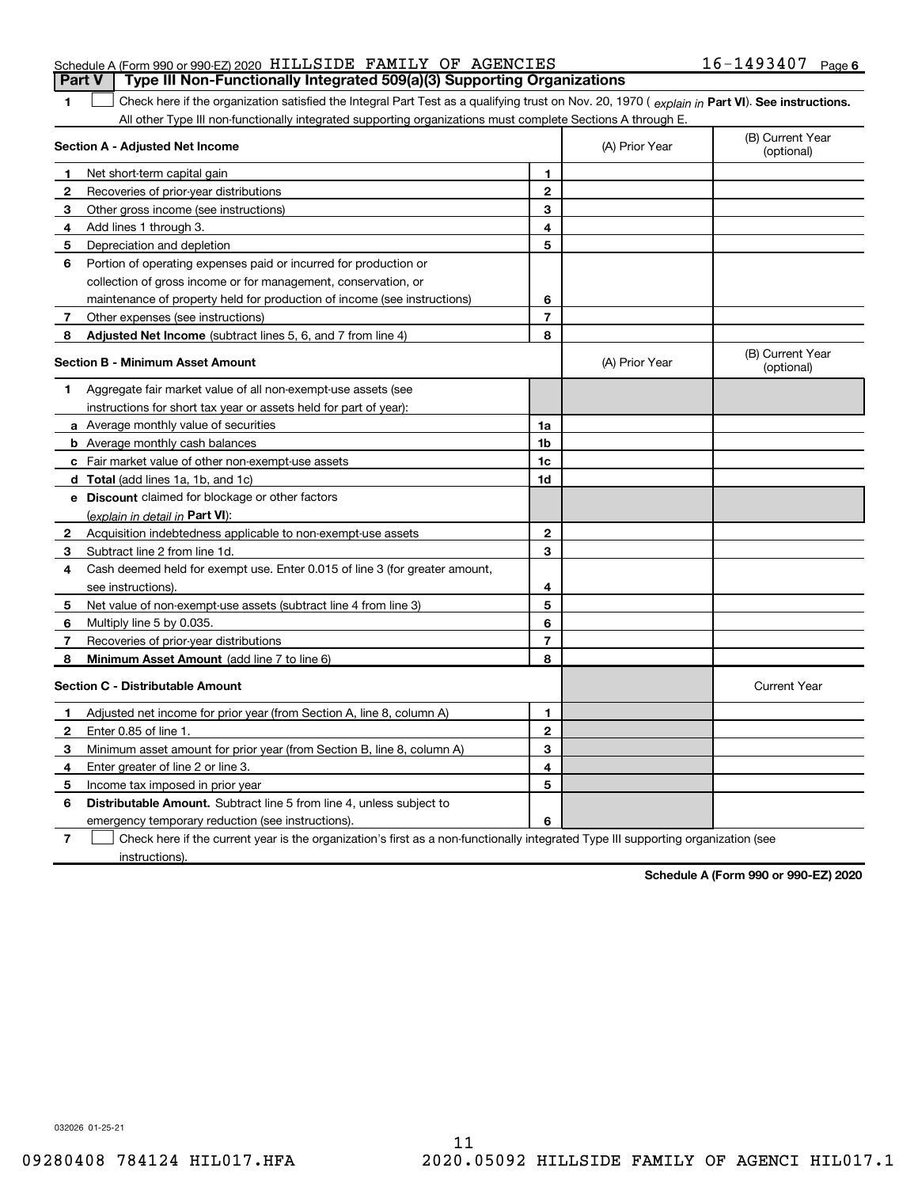| <b>Part V</b>   Type III Non-Functionally Integrated 509(a)(3) Supporting Organizations |  |                       |  |
|-----------------------------------------------------------------------------------------|--|-----------------------|--|
| Schedule A (Form 990 or 990-EZ) 2020 HILLSIDE FAMILY OF AGENCIES                        |  | $16 - 1493407$ Page 6 |  |

The Check here if the organization satisfied the Integral Part Test as a qualifying trust on Nov. 20, 1970 ( explain in Part VI). See instructions. All other Type III non-functionally integrated supporting organizations must complete Sections A through E.

|                | Section A - Adjusted Net Income                                                                                                   | (A) Prior Year | (B) Current Year<br>(optional) |                                |
|----------------|-----------------------------------------------------------------------------------------------------------------------------------|----------------|--------------------------------|--------------------------------|
| 1              | Net short term capital gain                                                                                                       | 1              |                                |                                |
| 2              | Recoveries of prior-year distributions                                                                                            | $\mathbf{2}$   |                                |                                |
| 3              | Other gross income (see instructions)                                                                                             | 3              |                                |                                |
| 4              | Add lines 1 through 3.                                                                                                            | 4              |                                |                                |
| 5              | Depreciation and depletion                                                                                                        | 5              |                                |                                |
| 6              | Portion of operating expenses paid or incurred for production or                                                                  |                |                                |                                |
|                | collection of gross income or for management, conservation, or                                                                    |                |                                |                                |
|                | maintenance of property held for production of income (see instructions)                                                          | 6              |                                |                                |
| 7              | Other expenses (see instructions)                                                                                                 | $\overline{7}$ |                                |                                |
| 8              | Adjusted Net Income (subtract lines 5, 6, and 7 from line 4)                                                                      | 8              |                                |                                |
|                | <b>Section B - Minimum Asset Amount</b>                                                                                           |                | (A) Prior Year                 | (B) Current Year<br>(optional) |
| 1              | Aggregate fair market value of all non-exempt-use assets (see                                                                     |                |                                |                                |
|                | instructions for short tax year or assets held for part of year):                                                                 |                |                                |                                |
|                | <b>a</b> Average monthly value of securities                                                                                      | 1a             |                                |                                |
|                | <b>b</b> Average monthly cash balances                                                                                            | 1b             |                                |                                |
|                | c Fair market value of other non-exempt-use assets                                                                                | 1c             |                                |                                |
|                | d Total (add lines 1a, 1b, and 1c)                                                                                                | 1d             |                                |                                |
|                | e Discount claimed for blockage or other factors                                                                                  |                |                                |                                |
|                | (explain in detail in Part VI):                                                                                                   |                |                                |                                |
| $\mathbf{2}$   | Acquisition indebtedness applicable to non-exempt-use assets                                                                      | 2              |                                |                                |
| 3              | Subtract line 2 from line 1d.                                                                                                     | 3              |                                |                                |
| 4              | Cash deemed held for exempt use. Enter 0.015 of line 3 (for greater amount,                                                       |                |                                |                                |
|                | see instructions)                                                                                                                 | 4              |                                |                                |
| 5              | Net value of non-exempt-use assets (subtract line 4 from line 3)                                                                  | 5              |                                |                                |
| 6              | Multiply line 5 by 0.035.                                                                                                         | 6              |                                |                                |
| 7              | Recoveries of prior-year distributions                                                                                            | 7              |                                |                                |
| 8              | Minimum Asset Amount (add line 7 to line 6)                                                                                       | 8              |                                |                                |
|                | <b>Section C - Distributable Amount</b>                                                                                           |                |                                | <b>Current Year</b>            |
| 1              | Adjusted net income for prior year (from Section A, line 8, column A)                                                             | 1              |                                |                                |
| 2              | Enter 0.85 of line 1.                                                                                                             | $\overline{2}$ |                                |                                |
| 3              | Minimum asset amount for prior year (from Section B, line 8, column A)                                                            | 3              |                                |                                |
| 4              | Enter greater of line 2 or line 3.                                                                                                | 4              |                                |                                |
| 5              | Income tax imposed in prior year                                                                                                  | 5              |                                |                                |
| 6              | <b>Distributable Amount.</b> Subtract line 5 from line 4, unless subject to                                                       |                |                                |                                |
|                | emergency temporary reduction (see instructions).                                                                                 | 6              |                                |                                |
| $\overline{7}$ | Check here if the current year is the organization's first as a non-functionally integrated Type III supporting organization (see |                |                                |                                |

instructions).

Schedule A (Form 990 or 990-EZ) 2020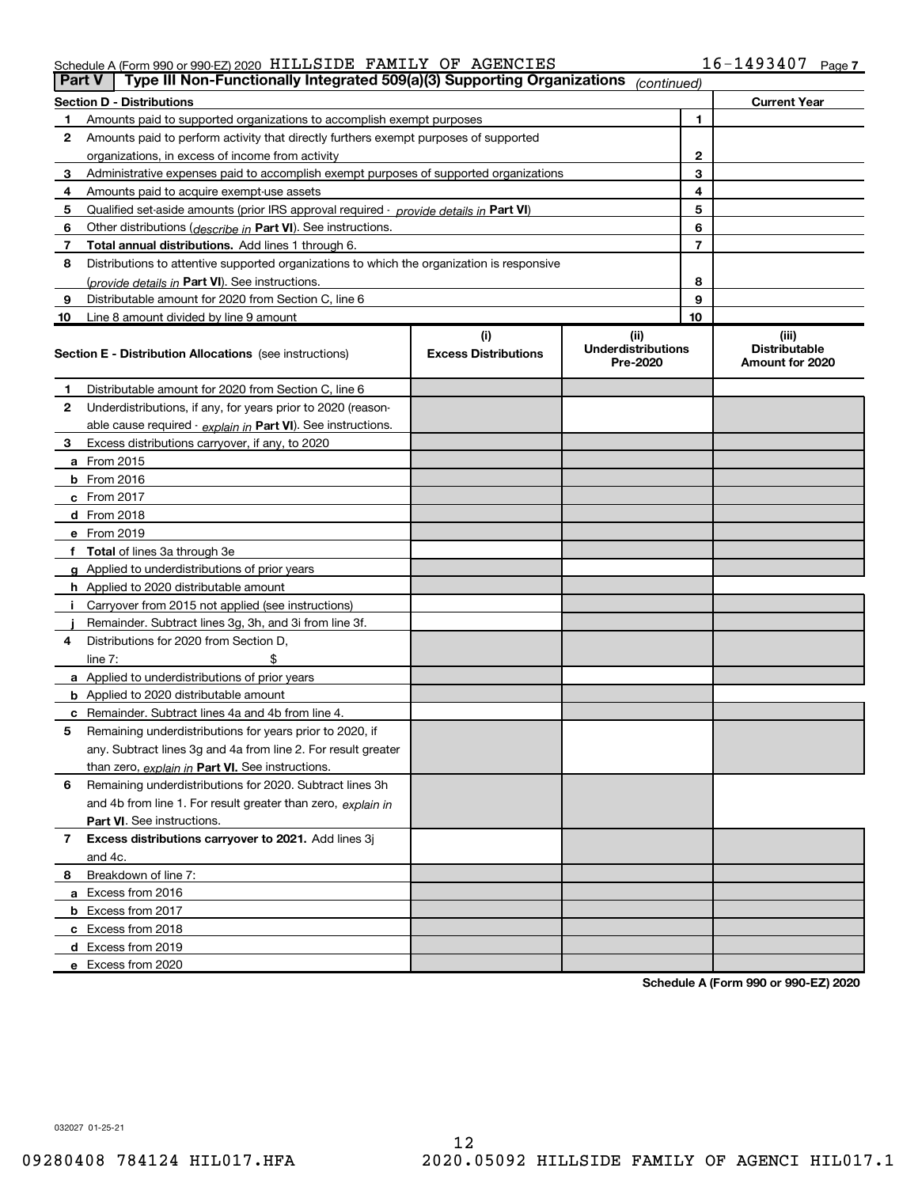|    | Type III Non-Functionally Integrated 509(a)(3) Supporting Organizations<br><b>Part V</b><br>(continued) |                             |                                       |                |                                         |  |  |  |
|----|---------------------------------------------------------------------------------------------------------|-----------------------------|---------------------------------------|----------------|-----------------------------------------|--|--|--|
|    | <b>Section D - Distributions</b>                                                                        |                             |                                       |                | <b>Current Year</b>                     |  |  |  |
| 1. | Amounts paid to supported organizations to accomplish exempt purposes                                   |                             | 1                                     |                |                                         |  |  |  |
| 2  | Amounts paid to perform activity that directly furthers exempt purposes of supported                    |                             |                                       |                |                                         |  |  |  |
|    | organizations, in excess of income from activity                                                        |                             | 2                                     |                |                                         |  |  |  |
| 3  | Administrative expenses paid to accomplish exempt purposes of supported organizations                   |                             |                                       | 3              |                                         |  |  |  |
| 4  | Amounts paid to acquire exempt-use assets                                                               |                             |                                       | 4              |                                         |  |  |  |
| 5  | Qualified set-aside amounts (prior IRS approval required - provide details in Part VI)                  |                             |                                       | 5              |                                         |  |  |  |
| 6  | Other distributions (describe in Part VI). See instructions.                                            |                             |                                       | 6              |                                         |  |  |  |
| 7  | <b>Total annual distributions.</b> Add lines 1 through 6.                                               |                             |                                       | $\overline{7}$ |                                         |  |  |  |
| 8  | Distributions to attentive supported organizations to which the organization is responsive              |                             |                                       |                |                                         |  |  |  |
|    | (provide details in Part VI). See instructions.                                                         |                             |                                       | 8              |                                         |  |  |  |
| 9  | Distributable amount for 2020 from Section C, line 6                                                    |                             |                                       | 9              |                                         |  |  |  |
| 10 | Line 8 amount divided by line 9 amount                                                                  |                             |                                       | 10             |                                         |  |  |  |
|    |                                                                                                         | (i)                         | (iii)                                 |                | (iii)                                   |  |  |  |
|    | <b>Section E - Distribution Allocations</b> (see instructions)                                          | <b>Excess Distributions</b> | <b>Underdistributions</b><br>Pre-2020 |                | <b>Distributable</b><br>Amount for 2020 |  |  |  |
| 1  | Distributable amount for 2020 from Section C, line 6                                                    |                             |                                       |                |                                         |  |  |  |
| 2  | Underdistributions, if any, for years prior to 2020 (reason-                                            |                             |                                       |                |                                         |  |  |  |
|    | able cause required - explain in Part VI). See instructions.                                            |                             |                                       |                |                                         |  |  |  |
| 3  | Excess distributions carryover, if any, to 2020                                                         |                             |                                       |                |                                         |  |  |  |
|    | <b>a</b> From 2015                                                                                      |                             |                                       |                |                                         |  |  |  |
|    | <b>b</b> From 2016                                                                                      |                             |                                       |                |                                         |  |  |  |
|    | $c$ From 2017                                                                                           |                             |                                       |                |                                         |  |  |  |
|    | d From 2018                                                                                             |                             |                                       |                |                                         |  |  |  |
|    | e From 2019                                                                                             |                             |                                       |                |                                         |  |  |  |
|    | Total of lines 3a through 3e                                                                            |                             |                                       |                |                                         |  |  |  |
| g  | Applied to underdistributions of prior years                                                            |                             |                                       |                |                                         |  |  |  |
|    | <b>h</b> Applied to 2020 distributable amount                                                           |                             |                                       |                |                                         |  |  |  |
|    | Carryover from 2015 not applied (see instructions)                                                      |                             |                                       |                |                                         |  |  |  |
|    | Remainder. Subtract lines 3g, 3h, and 3i from line 3f.                                                  |                             |                                       |                |                                         |  |  |  |
| 4  | Distributions for 2020 from Section D,                                                                  |                             |                                       |                |                                         |  |  |  |
|    | line $7:$                                                                                               |                             |                                       |                |                                         |  |  |  |
|    | <b>a</b> Applied to underdistributions of prior years                                                   |                             |                                       |                |                                         |  |  |  |
|    | <b>b</b> Applied to 2020 distributable amount                                                           |                             |                                       |                |                                         |  |  |  |
|    | c Remainder. Subtract lines 4a and 4b from line 4.                                                      |                             |                                       |                |                                         |  |  |  |
| 5  | Remaining underdistributions for years prior to 2020, if                                                |                             |                                       |                |                                         |  |  |  |
|    | any. Subtract lines 3g and 4a from line 2. For result greater                                           |                             |                                       |                |                                         |  |  |  |
|    | than zero, explain in Part VI. See instructions.                                                        |                             |                                       |                |                                         |  |  |  |
| 6  | Remaining underdistributions for 2020. Subtract lines 3h                                                |                             |                                       |                |                                         |  |  |  |
|    | and 4b from line 1. For result greater than zero, explain in                                            |                             |                                       |                |                                         |  |  |  |
|    | Part VI. See instructions.                                                                              |                             |                                       |                |                                         |  |  |  |
| 7  | Excess distributions carryover to 2021. Add lines 3j                                                    |                             |                                       |                |                                         |  |  |  |
|    | and 4c.                                                                                                 |                             |                                       |                |                                         |  |  |  |
| 8  | Breakdown of line 7:                                                                                    |                             |                                       |                |                                         |  |  |  |
|    | a Excess from 2016                                                                                      |                             |                                       |                |                                         |  |  |  |
|    | <b>b</b> Excess from 2017                                                                               |                             |                                       |                |                                         |  |  |  |
|    | c Excess from 2018                                                                                      |                             |                                       |                |                                         |  |  |  |
|    | d Excess from 2019                                                                                      |                             |                                       |                |                                         |  |  |  |
|    | e Excess from 2020                                                                                      |                             |                                       |                |                                         |  |  |  |

Schedule A (Form 990 or 990-EZ) 2020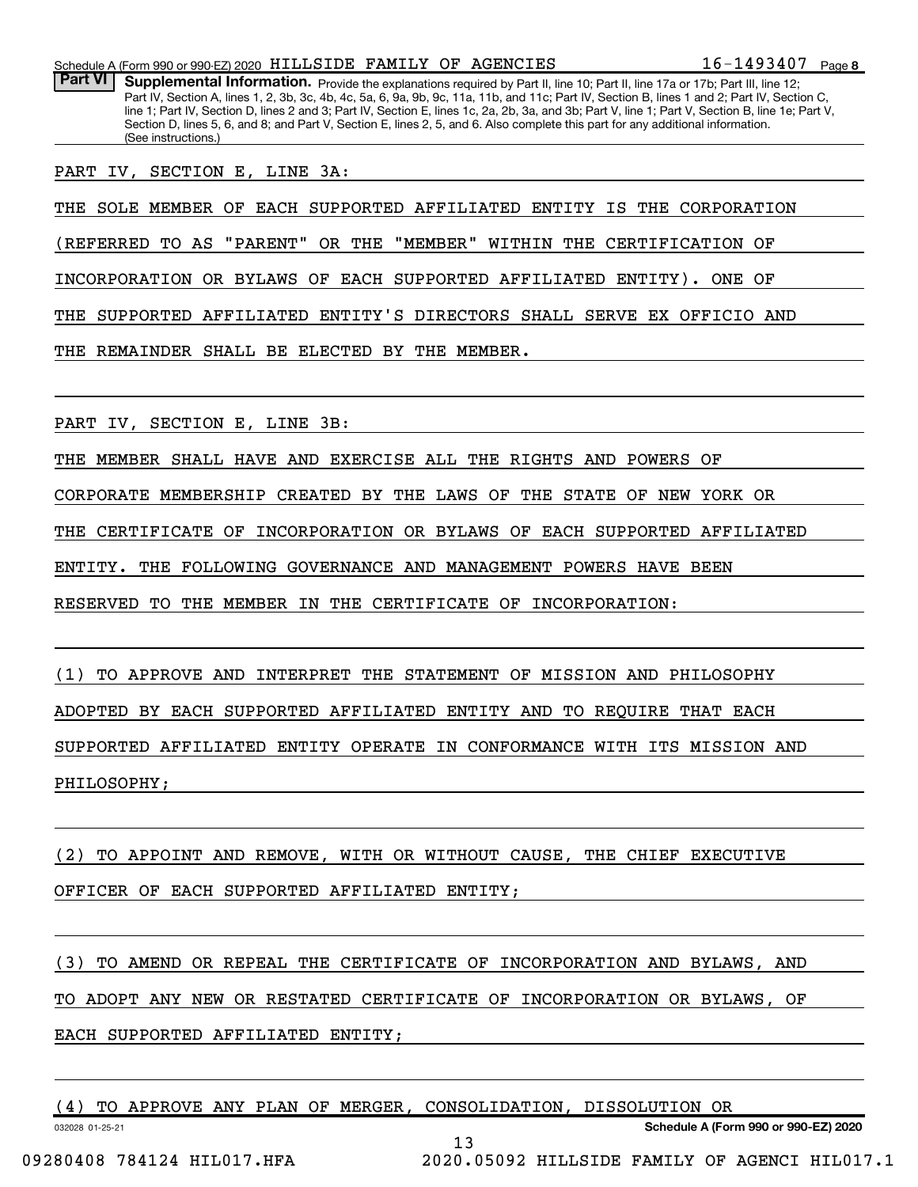Part VI | Supplemental Information. Provide the explanations required by Part II, line 10; Part II, line 17a or 17b; Part III, line 12; Part IV, Section A, lines 1, 2, 3b, 3c, 4b, 4c, 5a, 6, 9a, 9b, 9c, 11a, 11b, and 11c; Part IV, Section B, lines 1 and 2; Part IV, Section C, line 1; Part IV, Section D, lines 2 and 3; Part IV, Section E, lines 1c, 2a, 2b, 3a, and 3b; Part V, line 1; Part V, Section B, line 1e; Part V, Section D, lines 5, 6, and 8; and Part V, Section E, lines 2, 5, and 6. Also complete this part for any additional information. (See instructions.)

PART IV, SECTION E, LINE 3A:

THE SOLE MEMBER OF EACH SUPPORTED AFFILIATED ENTITY IS THE CORPORATION

(REFERRED TO AS "PARENT" OR THE "MEMBER" WITHIN THE CERTIFICATION OF

INCORPORATION OR BYLAWS OF EACH SUPPORTED AFFILIATED ENTITY). ONE OF

THE SUPPORTED AFFILIATED ENTITY'S DIRECTORS SHALL SERVE EX OFFICIO AND

THE REMAINDER SHALL BE ELECTED BY THE MEMBER.

PART IV, SECTION E, LINE 3B:

THE MEMBER SHALL HAVE AND EXERCISE ALL THE RIGHTS AND POWERS OF

CORPORATE MEMBERSHIP CREATED BY THE LAWS OF THE STATE OF NEW YORK OR

THE CERTIFICATE OF INCORPORATION OR BYLAWS OF EACH SUPPORTED AFFILIATED

ENTITY. THE FOLLOWING GOVERNANCE AND MANAGEMENT POWERS HAVE BEEN

RESERVED TO THE MEMBER IN THE CERTIFICATE OF INCORPORATION:

(1) TO APPROVE AND INTERPRET THE STATEMENT OF MISSION AND PHILOSOPHY ADOPTED BY EACH SUPPORTED AFFILIATED ENTITY AND TO REQUIRE THAT EACH SUPPORTED AFFILIATED ENTITY OPERATE IN CONFORMANCE WITH ITS MISSION AND PHILOSOPHY;

(2) TO APPOINT AND REMOVE, WITH OR WITHOUT CAUSE, THE CHIEF EXECUTIVE OFFICER OF EACH SUPPORTED AFFILIATED ENTITY;

(3) TO AMEND OR REPEAL THE CERTIFICATE OF INCORPORATION AND BYLAWS, AND

TO ADOPT ANY NEW OR RESTATED CERTIFICATE OF INCORPORATION OR BYLAWS, OF

13

EACH SUPPORTED AFFILIATED ENTITY;

|  |  |  |  |  |  |  | (4) TO APPROVE ANY PLAN OF MERGER, CONSOLIDATION, DISSOLUTION OR |  |  |
|--|--|--|--|--|--|--|------------------------------------------------------------------|--|--|
|--|--|--|--|--|--|--|------------------------------------------------------------------|--|--|

032028 01-25-21

Schedule A (Form 990 or 990-EZ) 2020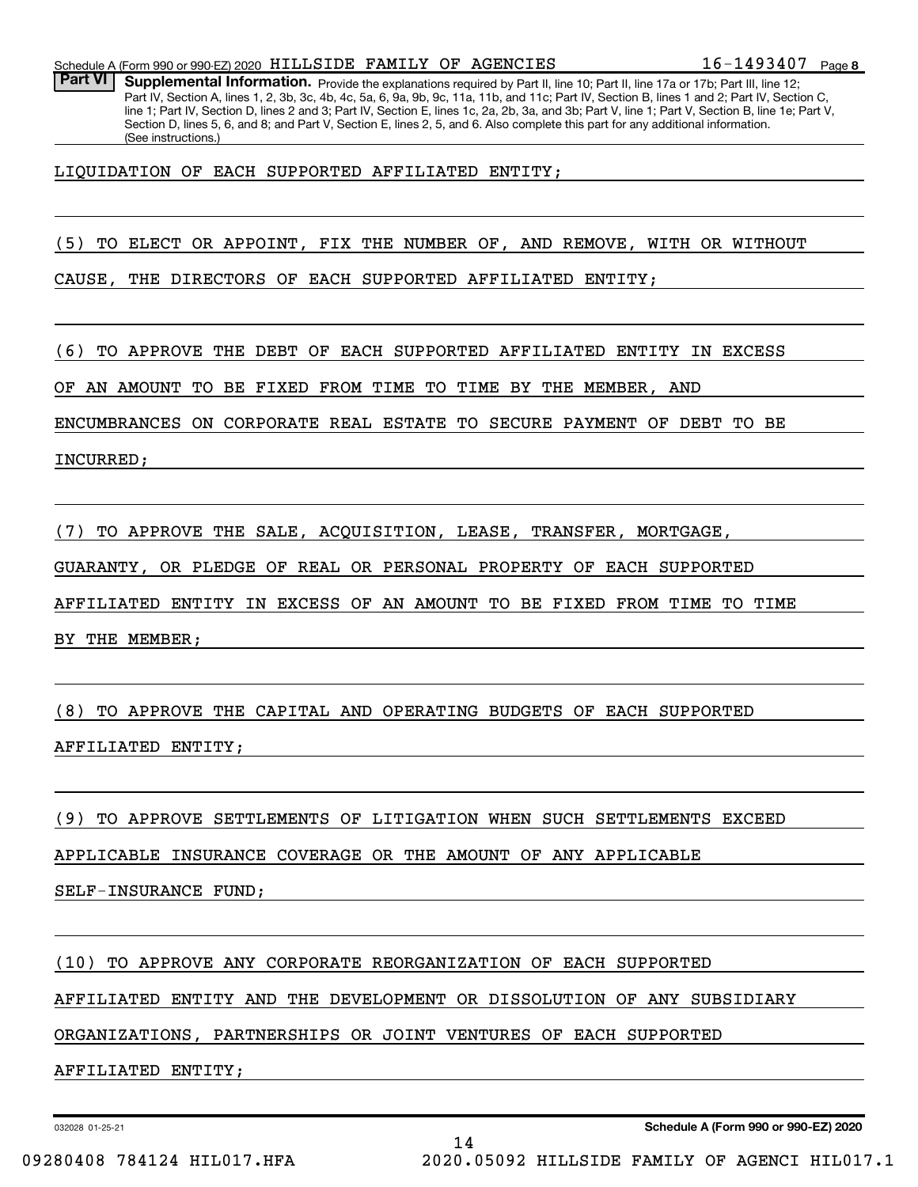Part VI | Supplemental Information. Provide the explanations required by Part II, line 10; Part II, line 17a or 17b; Part III, line 12; Part IV, Section A, lines 1, 2, 3b, 3c, 4b, 4c, 5a, 6, 9a, 9b, 9c, 11a, 11b, and 11c; Part IV, Section B, lines 1 and 2; Part IV, Section C, line 1; Part IV, Section D, lines 2 and 3; Part IV, Section E, lines 1c, 2a, 2b, 3a, and 3b; Part V, line 1; Part V, Section B, line 1e; Part V, Section D, lines 5, 6, and 8; and Part V, Section E, lines 2, 5, and 6. Also complete this part for any additional information. (See instructions.)

LIQUIDATION OF EACH SUPPORTED AFFILIATED ENTITY;

(5) TO ELECT OR APPOINT, FIX THE NUMBER OF, AND REMOVE, WITH OR WITHOUT

CAUSE, THE DIRECTORS OF EACH SUPPORTED AFFILIATED ENTITY;

(6) TO APPROVE THE DEBT OF EACH SUPPORTED AFFILIATED ENTITY IN EXCESS

OF AN AMOUNT TO BE FIXED FROM TIME TO TIME BY THE MEMBER, AND

ENCUMBRANCES ON CORPORATE REAL ESTATE TO SECURE PAYMENT OF DEBT TO BE

INCURRED;

(7) TO APPROVE THE SALE, ACQUISITION, LEASE, TRANSFER, MORTGAGE,

GUARANTY, OR PLEDGE OF REAL OR PERSONAL PROPERTY OF EACH SUPPORTED

AFFILIATED ENTITY IN EXCESS OF AN AMOUNT TO BE FIXED FROM TIME TO TIME

BY THE MEMBER;

(8) TO APPROVE THE CAPITAL AND OPERATING BUDGETS OF EACH SUPPORTED

AFFILIATED ENTITY;

(9) TO APPROVE SETTLEMENTS OF LITIGATION WHEN SUCH SETTLEMENTS EXCEED

APPLICABLE INSURANCE COVERAGE OR THE AMOUNT OF ANY APPLICABLE

SELF-INSURANCE FUND;

(10) TO APPROVE ANY CORPORATE REORGANIZATION OF EACH SUPPORTED

AFFILIATED ENTITY AND THE DEVELOPMENT OR DISSOLUTION OF ANY SUBSIDIARY

14

ORGANIZATIONS, PARTNERSHIPS OR JOINT VENTURES OF EACH SUPPORTED

AFFILIATED ENTITY;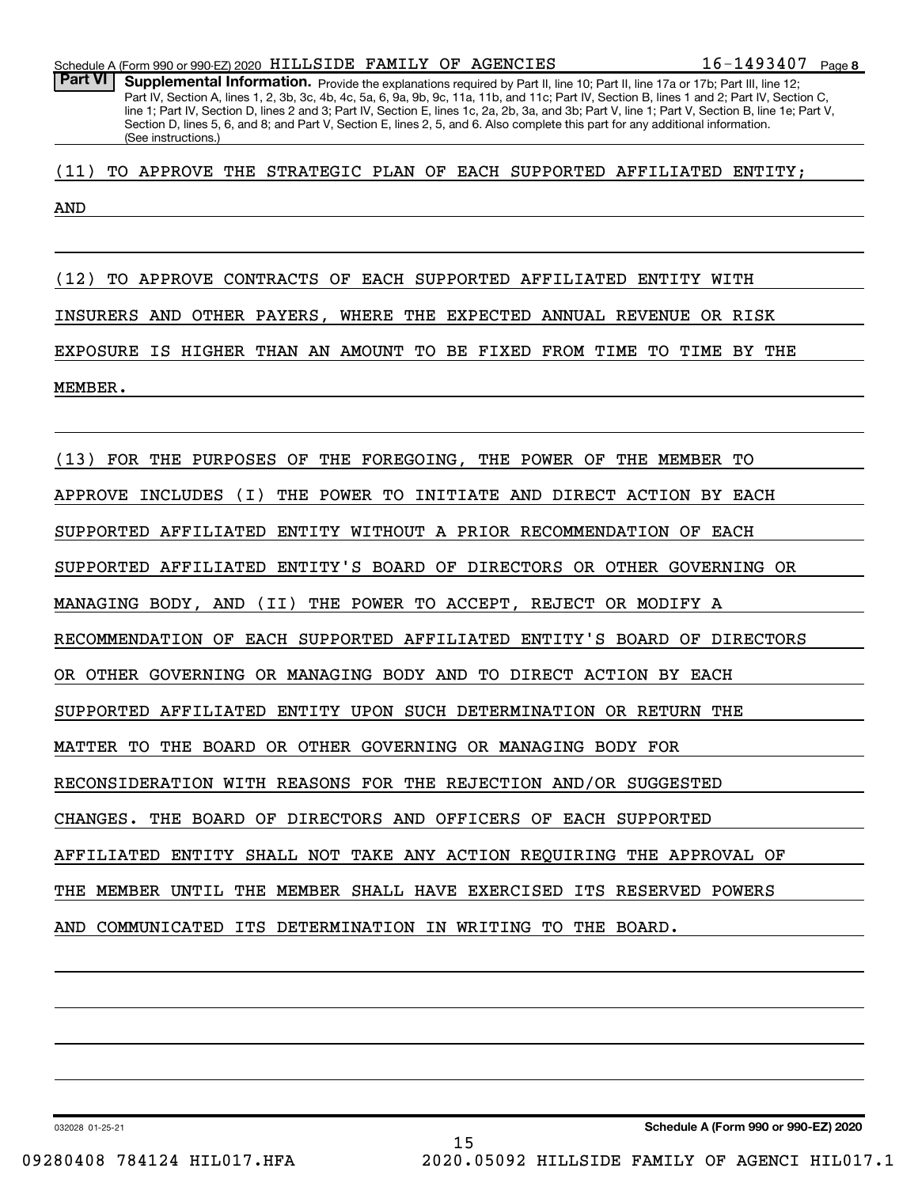Part VI | Supplemental Information. Provide the explanations required by Part II, line 10; Part II, line 17a or 17b; Part III, line 12; Part IV, Section A, lines 1, 2, 3b, 3c, 4b, 4c, 5a, 6, 9a, 9b, 9c, 11a, 11b, and 11c; Part IV, Section B, lines 1 and 2; Part IV, Section C, line 1; Part IV, Section D, lines 2 and 3; Part IV, Section E, lines 1c, 2a, 2b, 3a, and 3b; Part V, line 1; Part V, Section B, line 1e; Part V, Section D, lines 5, 6, and 8; and Part V, Section E, lines 2, 5, and 6. Also complete this part for any additional information. (See instructions.)

(11) TO APPROVE THE STRATEGIC PLAN OF EACH SUPPORTED AFFILIATED ENTITY;

AND

(12) TO APPROVE CONTRACTS OF EACH SUPPORTED AFFILIATED ENTITY WITH INSURERS AND OTHER PAYERS, WHERE THE EXPECTED ANNUAL REVENUE OR RISK EXPOSURE IS HIGHER THAN AN AMOUNT TO BE FIXED FROM TIME TO TIME BY THE MEMBER.

(13) FOR THE PURPOSES OF THE FOREGOING, THE POWER OF THE MEMBER TO APPROVE INCLUDES (I) THE POWER TO INITIATE AND DIRECT ACTION BY EACH SUPPORTED AFFILIATED ENTITY WITHOUT A PRIOR RECOMMENDATION OF EACH SUPPORTED AFFILIATED ENTITY'S BOARD OF DIRECTORS OR OTHER GOVERNING OR MANAGING BODY, AND (II) THE POWER TO ACCEPT, REJECT OR MODIFY A RECOMMENDATION OF EACH SUPPORTED AFFILIATED ENTITY'S BOARD OF DIRECTORS OR OTHER GOVERNING OR MANAGING BODY AND TO DIRECT ACTION BY EACH SUPPORTED AFFILIATED ENTITY UPON SUCH DETERMINATION OR RETURN THE MATTER TO THE BOARD OR OTHER GOVERNING OR MANAGING BODY FOR RECONSIDERATION WITH REASONS FOR THE REJECTION AND/OR SUGGESTED CHANGES. THE BOARD OF DIRECTORS AND OFFICERS OF EACH SUPPORTED AFFILIATED ENTITY SHALL NOT TAKE ANY ACTION REQUIRING THE APPROVAL OF THE MEMBER UNTIL THE MEMBER SHALL HAVE EXERCISED ITS RESERVED POWERS AND COMMUNICATED ITS DETERMINATION IN WRITING TO THE BOARD.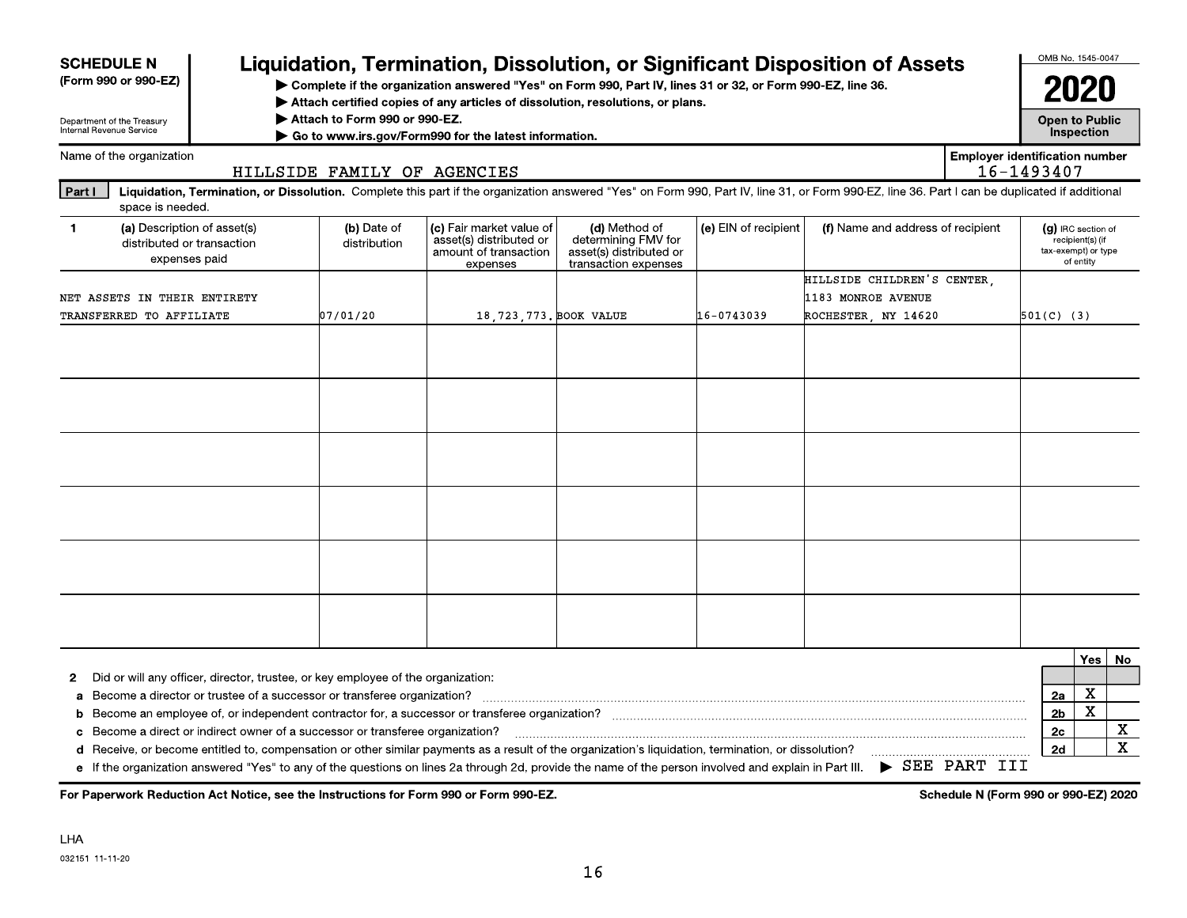| <b>SCHEDULE N</b>                                                                                                                                                                                                                                                                                     |                                                                                                                                                  |                                                                                  |                             |                                                                                          |                                                                                                                                                    |                      |                                                                                                                                                                                                |                                                     | OMB No. 1545-0047                         |                               |                            |
|-------------------------------------------------------------------------------------------------------------------------------------------------------------------------------------------------------------------------------------------------------------------------------------------------------|--------------------------------------------------------------------------------------------------------------------------------------------------|----------------------------------------------------------------------------------|-----------------------------|------------------------------------------------------------------------------------------|----------------------------------------------------------------------------------------------------------------------------------------------------|----------------------|------------------------------------------------------------------------------------------------------------------------------------------------------------------------------------------------|-----------------------------------------------------|-------------------------------------------|-------------------------------|----------------------------|
| Liquidation, Termination, Dissolution, or Significant Disposition of Assets<br>(Form 990 or 990-EZ)<br>> Complete if the organization answered "Yes" on Form 990, Part IV, lines 31 or 32, or Form 990-EZ, line 36.<br>Attach certified copies of any articles of dissolution, resolutions, or plans. |                                                                                                                                                  |                                                                                  |                             |                                                                                          |                                                                                                                                                    |                      | 2020                                                                                                                                                                                           |                                                     |                                           |                               |                            |
|                                                                                                                                                                                                                                                                                                       | Attach to Form 990 or 990-EZ.<br>Department of the Treasury<br>Internal Revenue Service<br>Go to www.irs.gov/Form990 for the latest information. |                                                                                  |                             |                                                                                          |                                                                                                                                                    |                      |                                                                                                                                                                                                | <b>Open to Public</b>                               | Inspection                                |                               |                            |
|                                                                                                                                                                                                                                                                                                       | Name of the organization                                                                                                                         |                                                                                  | HILLSIDE FAMILY OF AGENCIES |                                                                                          |                                                                                                                                                    |                      |                                                                                                                                                                                                | <b>Employer identification number</b><br>16-1493407 |                                           |                               |                            |
| <b>Part I</b>                                                                                                                                                                                                                                                                                         | space is needed.                                                                                                                                 |                                                                                  |                             |                                                                                          |                                                                                                                                                    |                      | Liquidation, Termination, or Dissolution. Complete this part if the organization answered "Yes" on Form 990, Part IV, line 31, or Form 990-EZ, line 36. Part I can be duplicated if additional |                                                     |                                           |                               |                            |
| $\blacktriangleleft$                                                                                                                                                                                                                                                                                  |                                                                                                                                                  | (a) Description of asset(s)<br>distributed or transaction<br>expenses paid       | (b) Date of<br>distribution | (c) Fair market value of<br>asset(s) distributed or<br>amount of transaction<br>expenses | (d) Method of<br>determining FMV for<br>asset(s) distributed or<br>transaction expenses                                                            | (e) EIN of recipient | (f) Name and address of recipient                                                                                                                                                              |                                                     | (g) IRC section of<br>tax-exempt) or type | recipient(s) (if<br>of entity |                            |
|                                                                                                                                                                                                                                                                                                       |                                                                                                                                                  |                                                                                  |                             |                                                                                          |                                                                                                                                                    |                      | HILLSIDE CHILDREN'S CENTER.                                                                                                                                                                    |                                                     |                                           |                               |                            |
|                                                                                                                                                                                                                                                                                                       | NET ASSETS IN THEIR ENTIRETY                                                                                                                     |                                                                                  |                             |                                                                                          |                                                                                                                                                    |                      | 1183 MONROE AVENUE                                                                                                                                                                             |                                                     |                                           |                               |                            |
|                                                                                                                                                                                                                                                                                                       | TRANSFERRED TO AFFILIATE                                                                                                                         |                                                                                  | 07/01/20                    | 18, 723, 773, BOOK VALUE                                                                 |                                                                                                                                                    | 16-0743039           | ROCHESTER NY 14620                                                                                                                                                                             |                                                     | $501(C)$ (3)                              |                               |                            |
|                                                                                                                                                                                                                                                                                                       |                                                                                                                                                  |                                                                                  |                             |                                                                                          |                                                                                                                                                    |                      |                                                                                                                                                                                                |                                                     |                                           |                               |                            |
|                                                                                                                                                                                                                                                                                                       |                                                                                                                                                  |                                                                                  |                             |                                                                                          |                                                                                                                                                    |                      |                                                                                                                                                                                                |                                                     |                                           |                               |                            |
|                                                                                                                                                                                                                                                                                                       |                                                                                                                                                  |                                                                                  |                             |                                                                                          |                                                                                                                                                    |                      |                                                                                                                                                                                                |                                                     |                                           |                               |                            |
|                                                                                                                                                                                                                                                                                                       |                                                                                                                                                  |                                                                                  |                             |                                                                                          |                                                                                                                                                    |                      |                                                                                                                                                                                                |                                                     |                                           |                               |                            |
|                                                                                                                                                                                                                                                                                                       |                                                                                                                                                  |                                                                                  |                             |                                                                                          |                                                                                                                                                    |                      |                                                                                                                                                                                                |                                                     |                                           |                               |                            |
|                                                                                                                                                                                                                                                                                                       |                                                                                                                                                  |                                                                                  |                             |                                                                                          |                                                                                                                                                    |                      |                                                                                                                                                                                                |                                                     |                                           |                               |                            |
|                                                                                                                                                                                                                                                                                                       |                                                                                                                                                  |                                                                                  |                             |                                                                                          |                                                                                                                                                    |                      |                                                                                                                                                                                                |                                                     |                                           |                               |                            |
|                                                                                                                                                                                                                                                                                                       |                                                                                                                                                  |                                                                                  |                             |                                                                                          |                                                                                                                                                    |                      |                                                                                                                                                                                                |                                                     |                                           | Yes                           | <b>No</b>                  |
| 2                                                                                                                                                                                                                                                                                                     |                                                                                                                                                  | Did or will any officer, director, trustee, or key employee of the organization: |                             |                                                                                          |                                                                                                                                                    |                      |                                                                                                                                                                                                |                                                     |                                           |                               |                            |
| a                                                                                                                                                                                                                                                                                                     |                                                                                                                                                  |                                                                                  |                             |                                                                                          |                                                                                                                                                    |                      |                                                                                                                                                                                                |                                                     | 2a                                        | $\mathbf X$                   |                            |
| b                                                                                                                                                                                                                                                                                                     |                                                                                                                                                  |                                                                                  |                             |                                                                                          |                                                                                                                                                    |                      |                                                                                                                                                                                                |                                                     | 2 <sub>b</sub>                            | Χ                             |                            |
| c                                                                                                                                                                                                                                                                                                     |                                                                                                                                                  | Become a direct or indirect owner of a successor or transferee organization?     |                             |                                                                                          |                                                                                                                                                    |                      |                                                                                                                                                                                                |                                                     | 2c<br>2d                                  |                               | $\mathbf X$<br>$\mathbf X$ |
| d                                                                                                                                                                                                                                                                                                     |                                                                                                                                                  |                                                                                  |                             |                                                                                          | Receive, or become entitled to, compensation or other similar payments as a result of the organization's liquidation, termination, or dissolution? |                      | e If the organization answered "Yes" to any of the questions on lines 2a through 2d, provide the name of the person involved and explain in Part III. $\triangleright$ SEE PART III            |                                                     |                                           |                               |                            |

For Paperwork Reduction Act Notice, see the Instructions for Form 990 or Form 990-EZ.

Schedule N (Form 990 or 990-EZ) 2020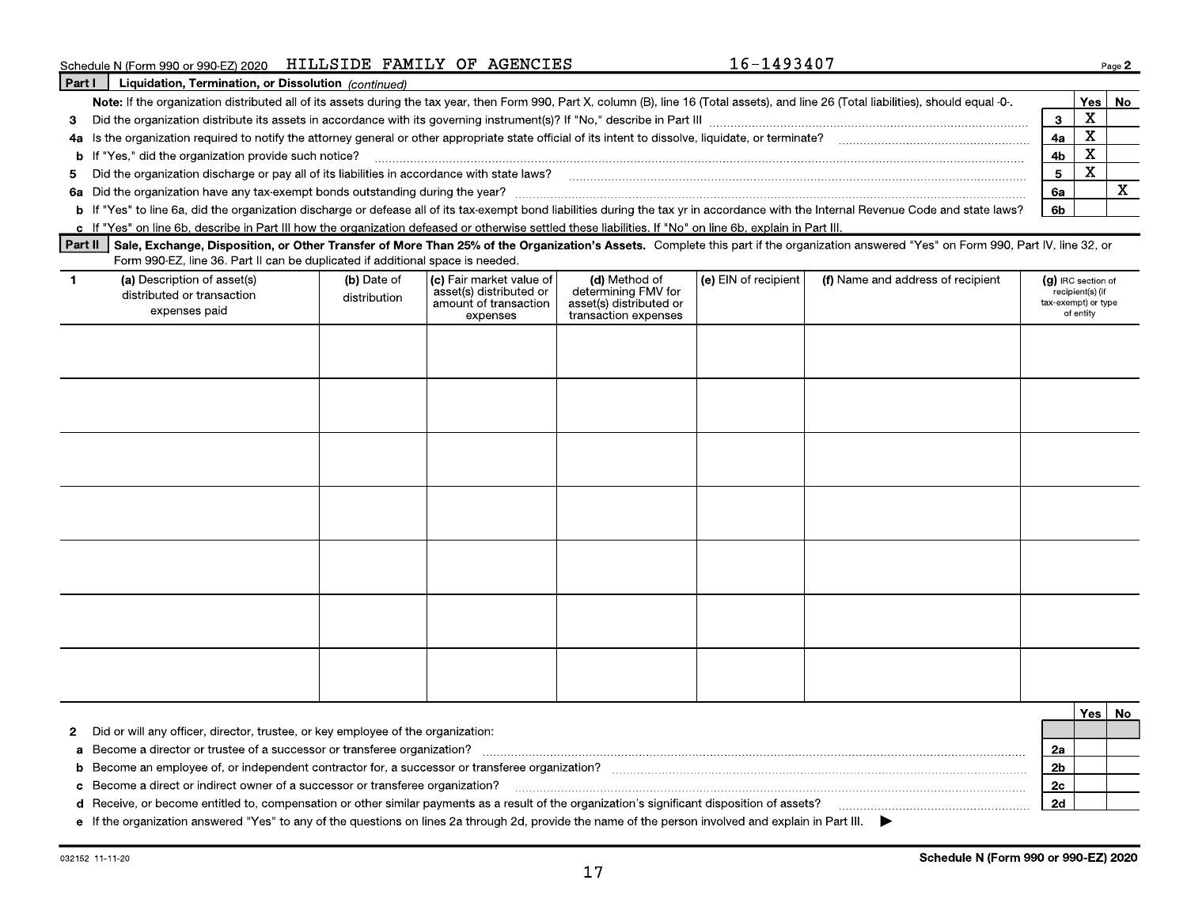### Schedule N (Form 990 or 990-EZ) 2020 HILLSIDE FAMILY OF AGENCIES

Part I Liquidation, Termination, or Dissolution (continued) Note: If the organization distributed all of its assets during the tax year, then Form 990, Part X, column (B), line 16 (Total assets), and line 26 (Total liabilities), should equal -0-. **Yes** | No X  $\overline{\mathbf{3}}$  $\mathbf{3}$ 4a Is the organization required to notify the attorney general or other appropriate state official of its intent to dissolve, liquidate, or terminate?  $\mathbf x$  $4a$ X  $4<sub>b</sub>$ X  $5\phantom{.0}$ 5 X 6a b If "Yes" to line 6a, did the organization discharge or defease all of its tax-exempt bond liabilities during the tax yr in accordance with the Internal Revenue Code and state laws? 6b

c If "Yes" on line 6b, describe in Part III how the organization defeased or otherwise settled these liabilities. If "No" on line 6b, explain in Part III.

Part II Sale, Exchange, Disposition, or Other Transfer of More Than 25% of the Organization's Assets. Complete this part if the organization answered "Yes" on Form 990, Part IV, line 32, or Form 990-EZ, line 36. Part II can be duplicated if additional space is needed.

| -1 | (a) Description of asset(s)<br>distributed or transaction<br>expenses paid | (b) Date of<br>distribution | (c) Fair market value of<br>asset(s) distributed or<br>amount of transaction<br>expenses | (d) Method of<br>determining FMV for<br>asset(s) distributed or<br>transaction expenses | (e) EIN of recipient | (f) Name and address of recipient | (g) IRC section of<br>recipient(s) (if<br>tax-exempt) or type<br>of entity |
|----|----------------------------------------------------------------------------|-----------------------------|------------------------------------------------------------------------------------------|-----------------------------------------------------------------------------------------|----------------------|-----------------------------------|----------------------------------------------------------------------------|
|    |                                                                            |                             |                                                                                          |                                                                                         |                      |                                   |                                                                            |
|    |                                                                            |                             |                                                                                          |                                                                                         |                      |                                   |                                                                            |
|    |                                                                            |                             |                                                                                          |                                                                                         |                      |                                   |                                                                            |
|    |                                                                            |                             |                                                                                          |                                                                                         |                      |                                   |                                                                            |
|    |                                                                            |                             |                                                                                          |                                                                                         |                      |                                   |                                                                            |
|    |                                                                            |                             |                                                                                          |                                                                                         |                      |                                   |                                                                            |
|    |                                                                            |                             |                                                                                          |                                                                                         |                      |                                   |                                                                            |

|                                                                                                                                                       | Yes l |  |
|-------------------------------------------------------------------------------------------------------------------------------------------------------|-------|--|
| 2 Did or will any officer, director, trustee, or key employee of the organization:                                                                    |       |  |
| a Become a director or trustee of a successor or transferee organization?                                                                             |       |  |
| <b>b</b> Become an employee of, or independent contractor for, a successor or transferee organization?                                                |       |  |
| c Become a direct or indirect owner of a successor or transferee organization?                                                                        |       |  |
| d Receive, or become entitled to, compensation or other similar payments as a result of the organization's significant disposition of assets?         |       |  |
| e If the organization answered "Yes" to any of the questions on lines 2a through 2d, provide the name of the person involved and explain in Part III. |       |  |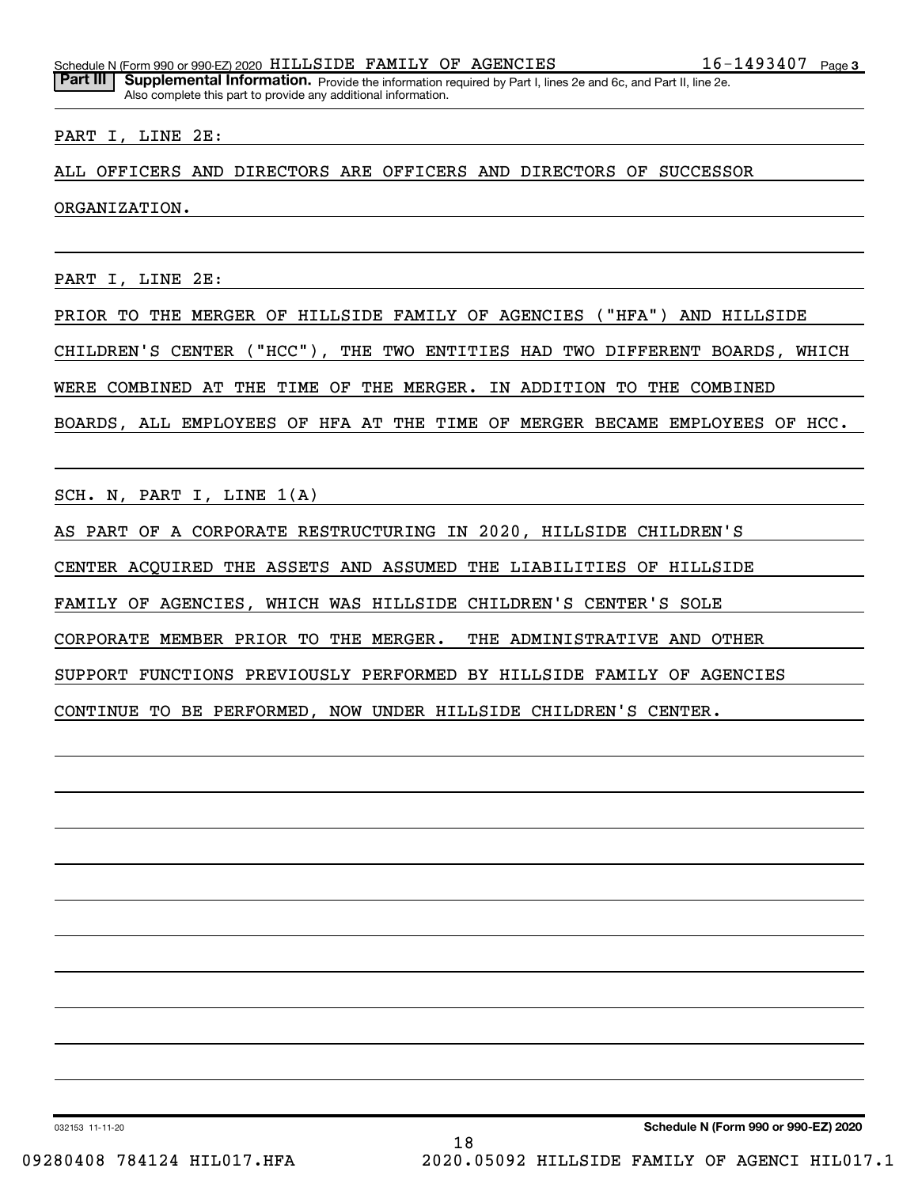Part III | Supplemental Information. Provide the information required by Part I, lines 2e and 6c, and Part II, line 2e. Also complete this part to provide any additional information.

#### PART I, LINE 2E:

ALL OFFICERS AND DIRECTORS ARE OFFICERS AND DIRECTORS OF SUCCESSOR

ORGANIZATION.

PART I, LINE 2E:

PRIOR TO THE MERGER OF HILLSIDE FAMILY OF AGENCIES ("HFA") AND HILLSIDE CHILDREN'S CENTER ("HCC"), THE TWO ENTITIES HAD TWO DIFFERENT BOARDS, WHICH WERE COMBINED AT THE TIME OF THE MERGER. IN ADDITION TO THE COMBINED BOARDS, ALL EMPLOYEES OF HFA AT THE TIME OF MERGER BECAME EMPLOYEES OF HCC.

SCH. N, PART I, LINE 1(A)

AS PART OF A CORPORATE RESTRUCTURING IN 2020, HILLSIDE CHILDREN'S

CENTER ACQUIRED THE ASSETS AND ASSUMED THE LIABILITIES OF HILLSIDE

FAMILY OF AGENCIES, WHICH WAS HILLSIDE CHILDREN'S CENTER'S SOLE

CORPORATE MEMBER PRIOR TO THE MERGER. THE ADMINISTRATIVE AND OTHER

SUPPORT FUNCTIONS PREVIOUSLY PERFORMED BY HILLSIDE FAMILY OF AGENCIES

CONTINUE TO BE PERFORMED, NOW UNDER HILLSIDE CHILDREN'S CENTER.

032153 11-11-20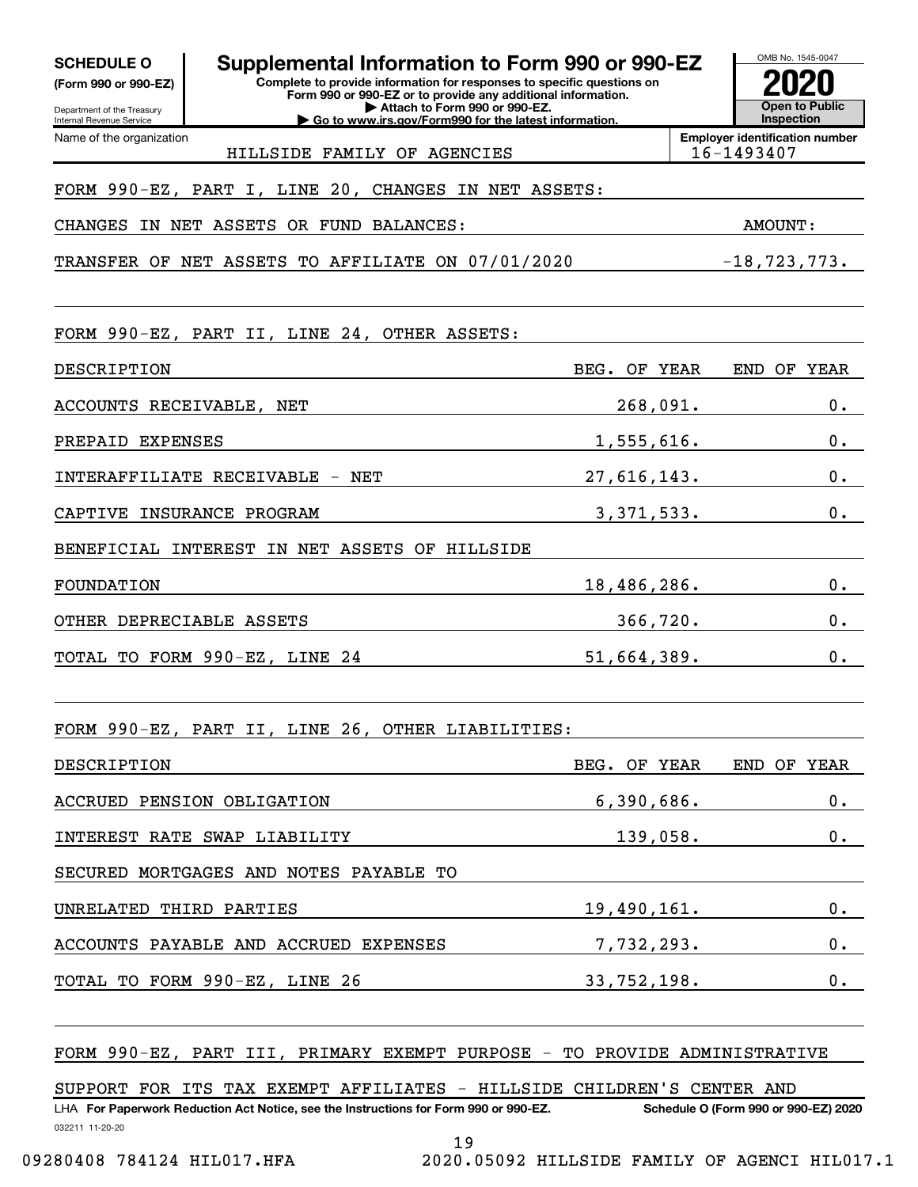| <b>SCHEDULE O</b><br>(Form 990 or 990-EZ)<br>Department of the Treasury | Supplemental Information to Form 990 or 990-EZ<br>Complete to provide information for responses to specific questions on<br>Form 990 or 990-EZ or to provide any additional information.<br>Attach to Form 990 or 990-EZ. |                    |          | OMB No. 1545-0047<br><b>Open to Public</b>          |
|-------------------------------------------------------------------------|---------------------------------------------------------------------------------------------------------------------------------------------------------------------------------------------------------------------------|--------------------|----------|-----------------------------------------------------|
| Internal Revenue Service<br>Name of the organization                    | Go to www.irs.gov/Form990 for the latest information.                                                                                                                                                                     |                    |          | Inspection<br><b>Employer identification number</b> |
|                                                                         | HILLSIDE FAMILY OF AGENCIES                                                                                                                                                                                               |                    |          | 16-1493407                                          |
|                                                                         | FORM 990-EZ, PART I, LINE 20, CHANGES IN NET ASSETS:                                                                                                                                                                      |                    |          |                                                     |
| CHANGES                                                                 | IN NET ASSETS OR FUND BALANCES:                                                                                                                                                                                           |                    |          | <b>AMOUNT:</b>                                      |
|                                                                         | TRANSFER OF NET ASSETS TO AFFILIATE ON 07/01/2020                                                                                                                                                                         |                    |          | $-18, 723, 773.$                                    |
|                                                                         |                                                                                                                                                                                                                           |                    |          |                                                     |
|                                                                         | FORM 990-EZ, PART II, LINE 24, OTHER ASSETS:                                                                                                                                                                              |                    |          |                                                     |
| DESCRIPTION                                                             |                                                                                                                                                                                                                           | BEG. OF YEAR       |          | END OF YEAR                                         |
| ACCOUNTS RECEIVABLE, NET                                                |                                                                                                                                                                                                                           |                    | 268,091. | 0.                                                  |
| PREPAID EXPENSES                                                        |                                                                                                                                                                                                                           | 1,555,616.         |          | 0.                                                  |
|                                                                         | INTERAFFILIATE RECEIVABLE - NET                                                                                                                                                                                           | 27,616,143.        |          | 0.                                                  |
|                                                                         | CAPTIVE INSURANCE PROGRAM                                                                                                                                                                                                 | 3,371,533.         |          | 0.                                                  |
|                                                                         | BENEFICIAL INTEREST IN NET ASSETS OF HILLSIDE                                                                                                                                                                             |                    |          |                                                     |
| FOUNDATION                                                              |                                                                                                                                                                                                                           | 18,486,286.        |          | 0.                                                  |
| OTHER DEPRECIABLE ASSETS                                                |                                                                                                                                                                                                                           |                    | 366,720. | 0.                                                  |
|                                                                         | TOTAL TO FORM 990-EZ, LINE 24                                                                                                                                                                                             | 51,664,389.        |          | 0.                                                  |
|                                                                         |                                                                                                                                                                                                                           |                    |          |                                                     |
| FORM $990 - EZ$ ,                                                       | PART II, LINE 26, OTHER LIABILITIES:                                                                                                                                                                                      |                    |          |                                                     |
| DESCRIPTION                                                             |                                                                                                                                                                                                                           | BEG. OF YEAR       |          | END OF YEAR                                         |
|                                                                         | ACCRUED PENSION OBLIGATION                                                                                                                                                                                                | 6,390,686.         |          | $0 \cdot$                                           |
|                                                                         | INTEREST RATE SWAP LIABILITY                                                                                                                                                                                              | 139,058.           |          | $0 \cdot$                                           |
|                                                                         | SECURED MORTGAGES AND NOTES PAYABLE TO                                                                                                                                                                                    |                    |          |                                                     |
| UNRELATED THIRD PARTIES                                                 |                                                                                                                                                                                                                           | 19,490,161.        |          | $0 \cdot$                                           |
|                                                                         | ACCOUNTS PAYABLE AND ACCRUED EXPENSES                                                                                                                                                                                     | 7, <u>732,293.</u> |          | $0 \cdot$                                           |
|                                                                         | TOTAL TO FORM 990-EZ, LINE 26                                                                                                                                                                                             | 33,752,198.        |          | $0 \cdot$                                           |
|                                                                         |                                                                                                                                                                                                                           |                    |          |                                                     |
|                                                                         | FORM 990-EZ, PART III, PRIMARY EXEMPT PURPOSE - TO PROVIDE ADMINISTRATIVE                                                                                                                                                 |                    |          |                                                     |
|                                                                         | SUPPORT FOR ITS TAX EXEMPT AFFILIATES - HILLSIDE CHILDREN'S CENTER AND                                                                                                                                                    |                    |          |                                                     |
| 032211 11-20-20                                                         | LHA For Paperwork Reduction Act Notice, see the Instructions for Form 990 or 990-EZ.                                                                                                                                      |                    |          | Schedule O (Form 990 or 990-EZ) 2020                |
|                                                                         | 19                                                                                                                                                                                                                        |                    |          |                                                     |

09280408 784124 HIL017.HFA 2020.05092 HILLSIDE FAMILY OF AGENCI HIL017.1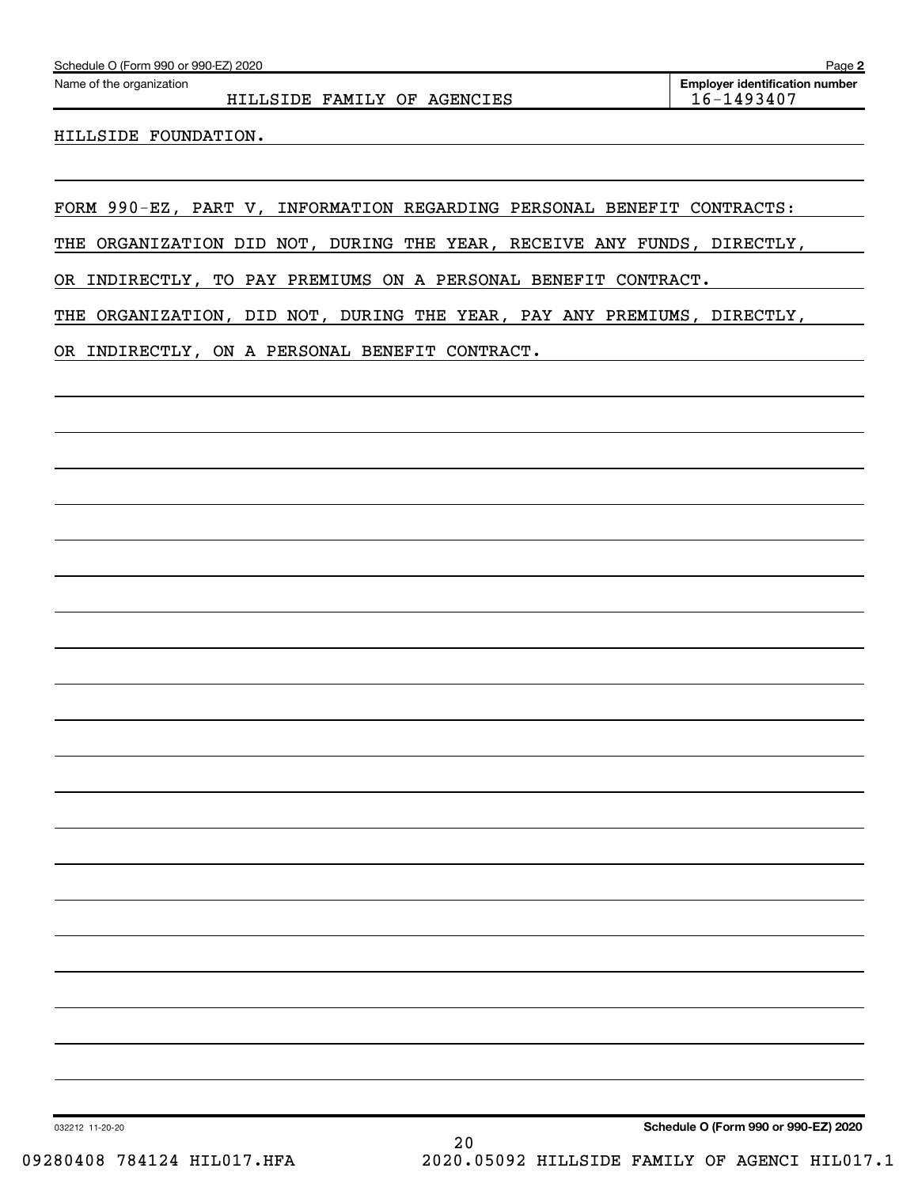|  | Schedule O (Form 990 or 990-EZ) 2020 |  | Page |  |
|--|--------------------------------------|--|------|--|
|--|--------------------------------------|--|------|--|

HILLSIDE FAMILY OF AGENCIES | 16-1493407

HILLSIDE FOUNDATION.

FORM 990-EZ, PART V, INFORMATION REGARDING PERSONAL BENEFIT CONTRACTS:

THE ORGANIZATION DID NOT, DURING THE YEAR, RECEIVE ANY FUNDS, DIRECTLY,

OR INDIRECTLY, TO PAY PREMIUMS ON A PERSONAL BENEFIT CONTRACT.

THE ORGANIZATION, DID NOT, DURING THE YEAR, PAY ANY PREMIUMS, DIRECTLY,

OR INDIRECTLY, ON A PERSONAL BENEFIT CONTRACT.

Schedule O (Form 990 or 990-EZ) 2020

032212 11-20-20